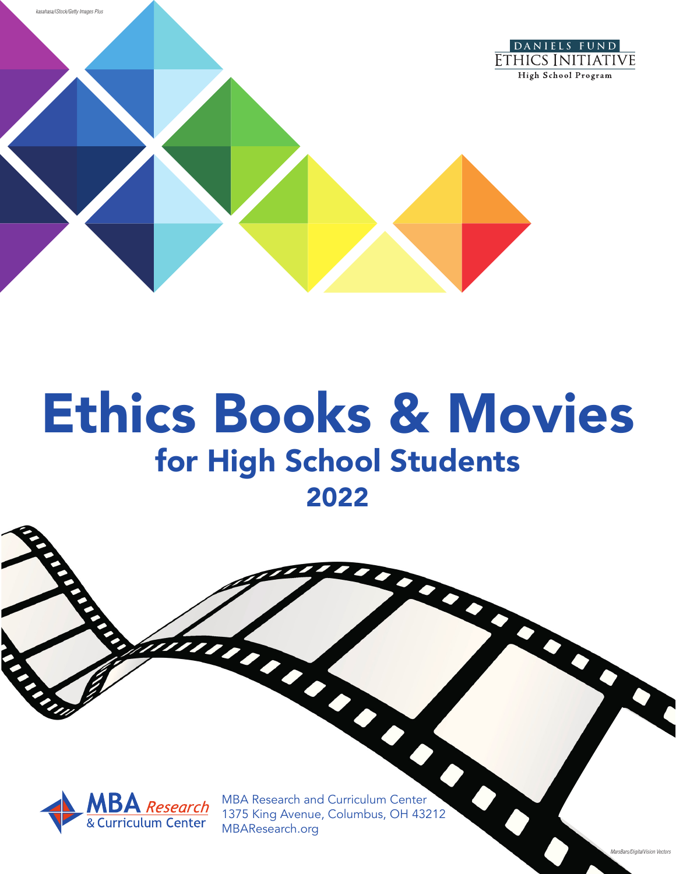

# Ethics Books & Movies for High School Students 2022

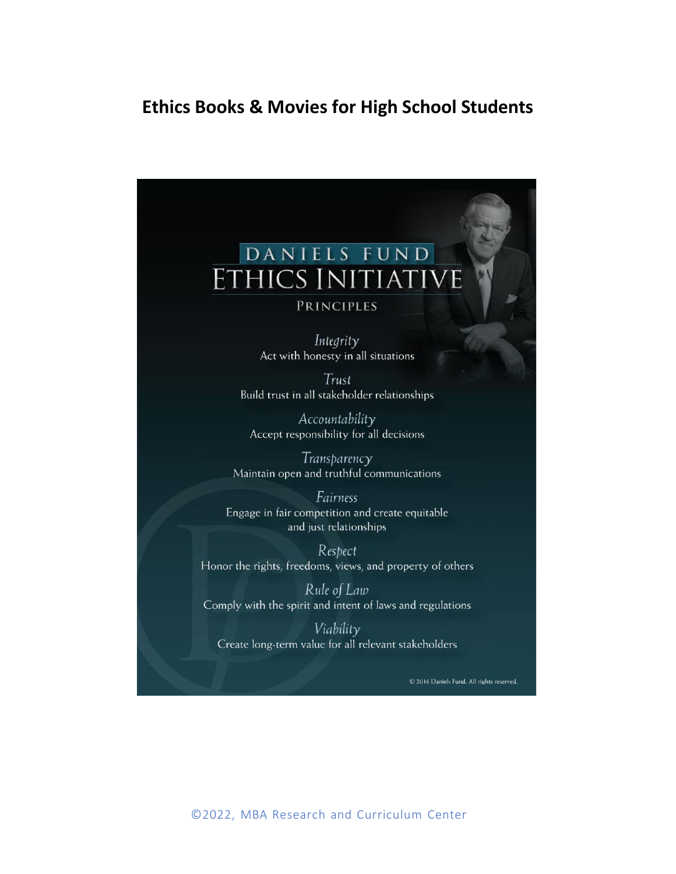# **Ethics Books & Movies for High School Students**

# DANIELS FUND **HICS INITIATIVE PRINCIPLES** Integrity Act with honesty in all situations Trust Build trust in all stakeholder relationships Accountability Accept responsibility for all decisions Transparency Maintain open and truthful communications Fairness Engage in fair competition and create equitable and just relationships Respect Honor the rights, freedoms, views, and property of others Rule of Law Comply with the spirit and intent of laws and regulations

Viability Create long-term value for all relevant stakeholders

C 2016 Daniels Fund. All rights reserved.

©2022, MBA Research and Curriculum Center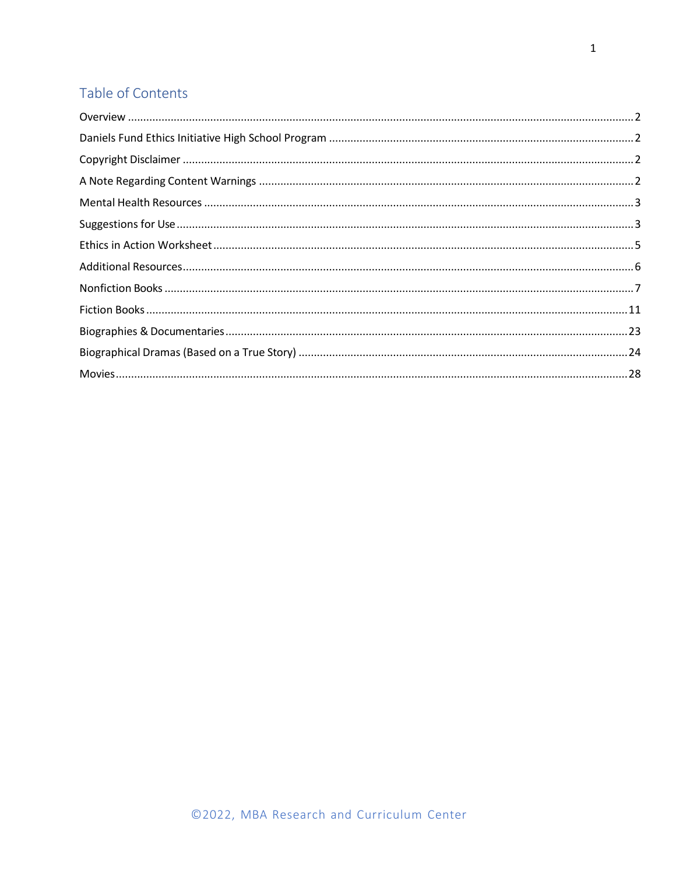# Table of Contents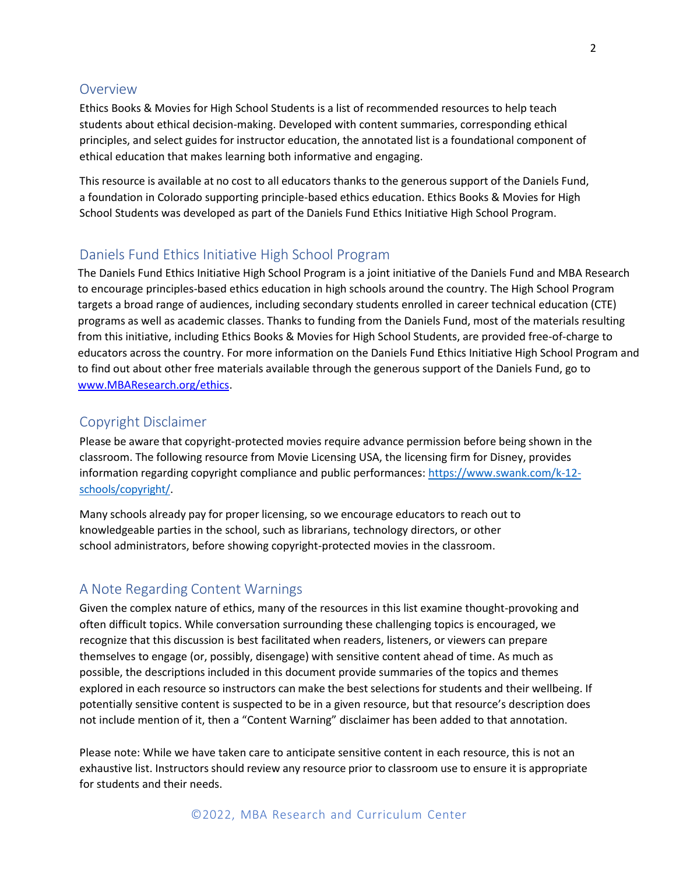# <span id="page-3-0"></span>Overview

Ethics Books & Movies for High School Students is a list of recommended resources to help teach students about ethical decision-making. Developed with content summaries, corresponding ethical principles, and select guides for instructor education, the annotated list is a foundational component of ethical education that makes learning both informative and engaging.

This resource is available at no cost to all educators thanks to the generous support of the Daniels Fund, a foundation in Colorado supporting principle-based ethics education. Ethics Books & Movies for High School Students was developed as part of the Daniels Fund Ethics Initiative High School Program.

# <span id="page-3-1"></span>Daniels Fund Ethics Initiative High School Program

The Daniels Fund Ethics Initiative High School Program is a joint initiative of the Daniels Fund and MBA Research to encourage principles-based ethics education in high schools around the country. The High School Program targets a broad range of audiences, including secondary students enrolled in career technical education (CTE) programs as well as academic classes. Thanks to funding from the Daniels Fund, most of the materials resulting from this initiative, including Ethics Books & Movies for High School Students, are provided free-of-charge to educators across the country. For more information on the Daniels Fund Ethics Initiative High School Program and to find out about other free materials available through the generous support of the Daniels Fund, go to [www.MBAResearch.org/ethics.](http://www.mbaresearch.org/ethics)

# <span id="page-3-2"></span>Copyright Disclaimer

Please be aware that copyright-protected movies require advance permission before being shown in the classroom. The following resource from Movie Licensing USA, the licensing firm for Disney, provides information regarding copyright compliance and public performances: [https://www.swank.com/k-12](https://www.swank.com/k-12-schools/copyright/) [schools/copyright/.](https://www.swank.com/k-12-schools/copyright/)

Many schools already pay for proper licensing, so we encourage educators to reach out to knowledgeable parties in the school, such as librarians, technology directors, or other school administrators, before showing copyright-protected movies in the classroom.

# <span id="page-3-3"></span>A Note Regarding Content Warnings

Given the complex nature of ethics, many of the resources in this list examine thought-provoking and often difficult topics. While conversation surrounding these challenging topics is encouraged, we recognize that this discussion is best facilitated when readers, listeners, or viewers can prepare themselves to engage (or, possibly, disengage) with sensitive content ahead of time. As much as possible, the descriptions included in this document provide summaries of the topics and themes explored in each resource so instructors can make the best selections for students and their wellbeing. If potentially sensitive content is suspected to be in a given resource, but that resource's description does not include mention of it, then a "Content Warning" disclaimer has been added to that annotation.

Please note: While we have taken care to anticipate sensitive content in each resource, this is not an exhaustive list. Instructors should review any resource prior to classroom use to ensure it is appropriate for students and their needs.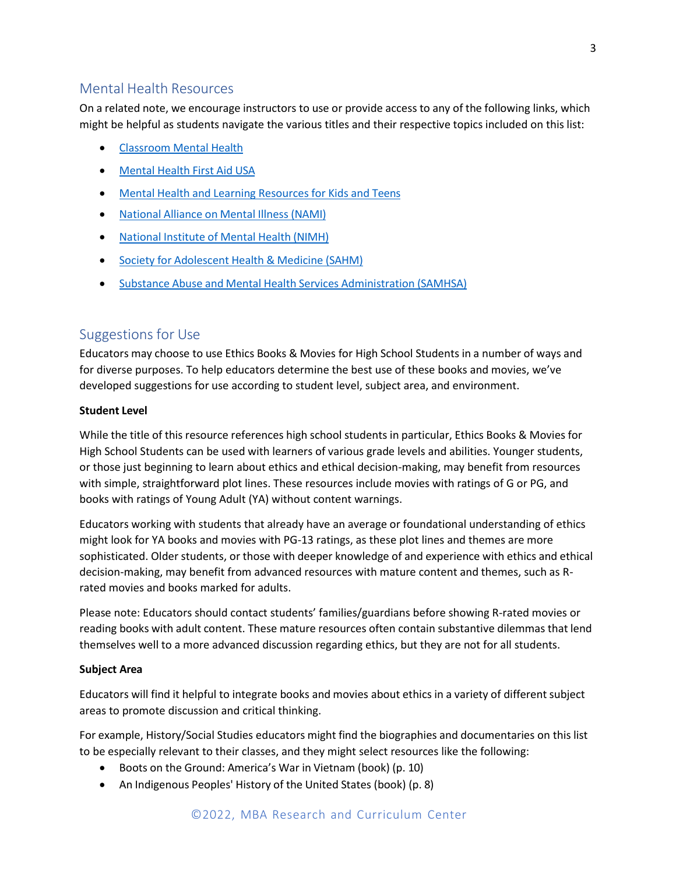# <span id="page-4-0"></span>Mental Health Resources

On a related note, we encourage instructors to use or provide access to any of the following links, which might be helpful as students navigate the various titles and their respective topics included on this list:

- Classroom Mental Health
- Mental Health First Aid USA
- Mental Health and Learning Resources for Kids and Teens
- National Alliance on Mental Illness (NAMI)
- National Institute of Mental Health (NIMH)
- Society for Adolescent Health & Medicine (SAHM)
- **Substance Abuse and Mental Health Services Administration (SAMHSA)**

# <span id="page-4-1"></span>Suggestions for Use

Educators may choose to use Ethics Books & Movies for High School Students in a number of ways and for diverse purposes. To help educators determine the best use of these books and movies, we've developed suggestions for use according to student level, subject area, and environment.

#### **Student Level**

While the title of this resource references high school students in particular, Ethics Books & Movies for High School Students can be used with learners of various grade levels and abilities. Younger students, or those just beginning to learn about ethics and ethical decision-making, may benefit from resources with simple, straightforward plot lines. These resources include movies with ratings of G or PG, and books with ratings of Young Adult (YA) without content warnings.

Educators working with students that already have an average or foundational understanding of ethics might look for YA books and movies with PG-13 ratings, as these plot lines and themes are more sophisticated. Older students, or those with deeper knowledge of and experience with ethics and ethical decision-making, may benefit from advanced resources with mature content and themes, such as Rrated movies and books marked for adults.

Please note: Educators should contact students' families/guardians before showing R-rated movies or reading books with adult content. These mature resources often contain substantive dilemmas that lend themselves well to a more advanced discussion regarding ethics, but they are not for all students.

#### **Subject Area**

Educators will find it helpful to integrate books and movies about ethics in a variety of differentsubject areas to promote discussion and critical thinking.

For example, History/Social Studies educators might find the biographies and documentaries on this list to be especially relevant to their classes, and they might select resources like the following:

- Boots on the Ground: America's War in Vietnam (book) (p. 10)
- An Indigenous Peoples' History of the United States (book) (p. 8)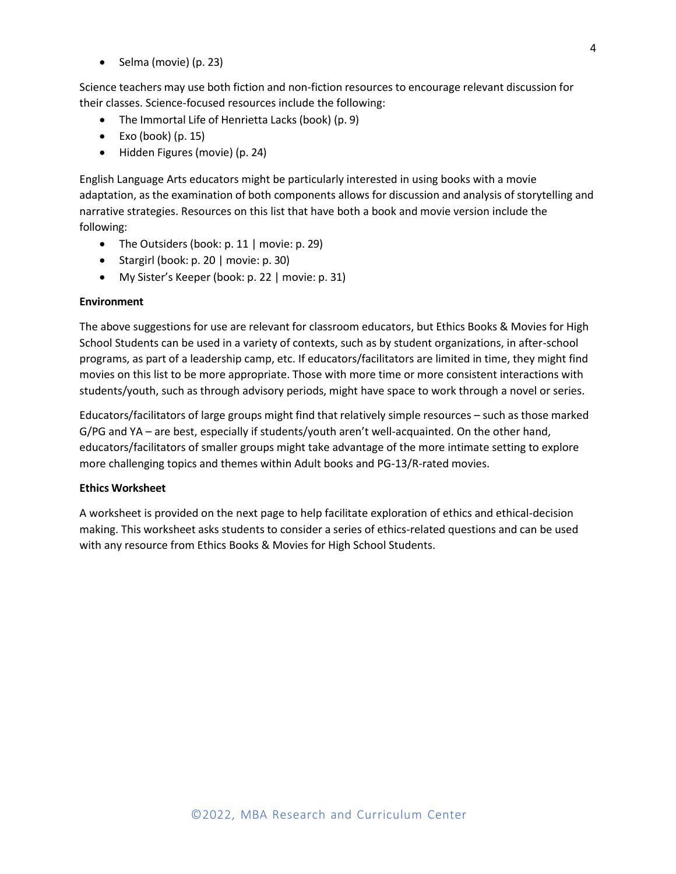• Selma (movie) (p. 23)

Science teachers may use both fiction and non-fiction resources to encourage relevant discussion for their classes. Science-focused resources include the following:

- The Immortal Life of Henrietta Lacks (book) (p. 9)
- $\bullet$  Exo (book) (p. 15)
- Hidden Figures (movie) (p. 24)

English Language Arts educators might be particularly interested in using books with a movie adaptation, as the examination of both components allows for discussion and analysis of storytelling and narrative strategies. Resources on this list that have both a book and movie version include the following:

- The Outsiders (book: p. 11 | movie: p. 29)
- Stargirl (book: p. 20 | movie: p. 30)
- My Sister's Keeper (book: p. 22 | movie: p. 31)

### **Environment**

The above suggestions for use are relevant for classroom educators, but Ethics Books & Movies for High School Students can be used in a variety of contexts, such as by student organizations, in after-school programs, as part of a leadership camp, etc. If educators/facilitators are limited in time, they might find movies on this list to be more appropriate. Those with more time or more consistent interactions with students/youth, such as through advisory periods, might have space to work through a novel or series.

Educators/facilitators of large groups might find that relatively simple resources – such as those marked G/PG and YA – are best, especially if students/youth aren't well-acquainted. On the other hand, educators/facilitators of smaller groups might take advantage of the more intimate setting to explore more challenging topics and themes within Adult books and PG-13/R-rated movies.

# **Ethics Worksheet**

A worksheet is provided on the next page to help facilitate exploration of ethics and ethical-decision making. This worksheet asks students to consider a series of ethics-related questions and can be used with any resource from Ethics Books & Movies for High School Students.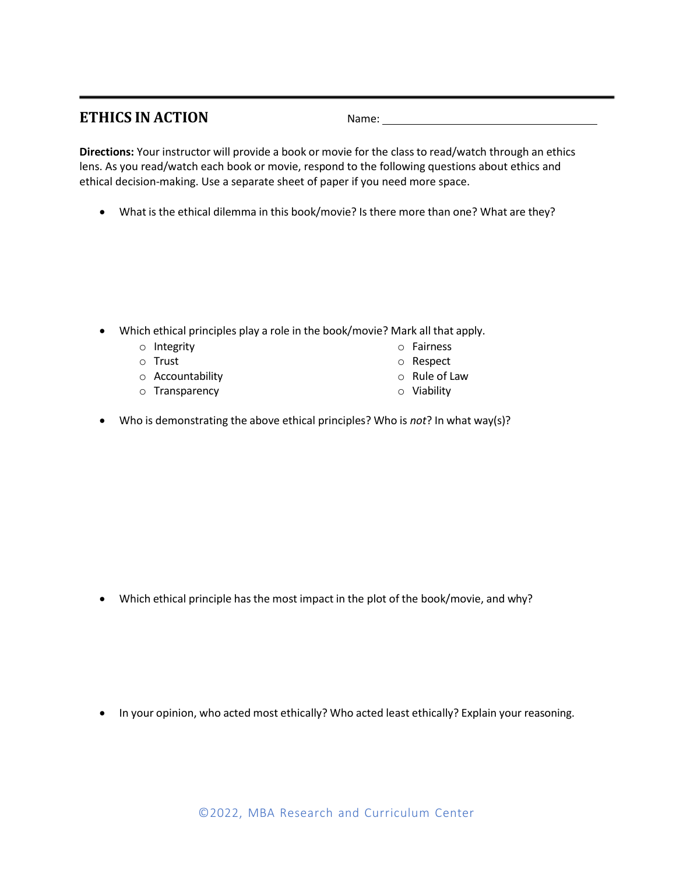# <span id="page-6-0"></span>**ETHICS IN ACTION** Name:

**Directions:** Your instructor will provide a book or movie for the class to read/watch through an ethics lens. As you read/watch each book or movie, respond to the following questions about ethics and ethical decision-making. Use a separate sheet of paper if you need more space.

• What is the ethical dilemma in this book/movie? Is there more than one? What are they?

- Which ethical principles play a role in the book/movie? Mark all that apply.
	- o Integrity
	- o Trust
	- o Accountability
	- o Transparency
- o Fairness o Respect
- o Rule of Law
- o Viability
- Who is demonstrating the above ethical principles? Who is *not*? In what way(s)?

• Which ethical principle has the most impact in the plot of the book/movie, and why?

• In your opinion, who acted most ethically? Who acted least ethically? Explain your reasoning.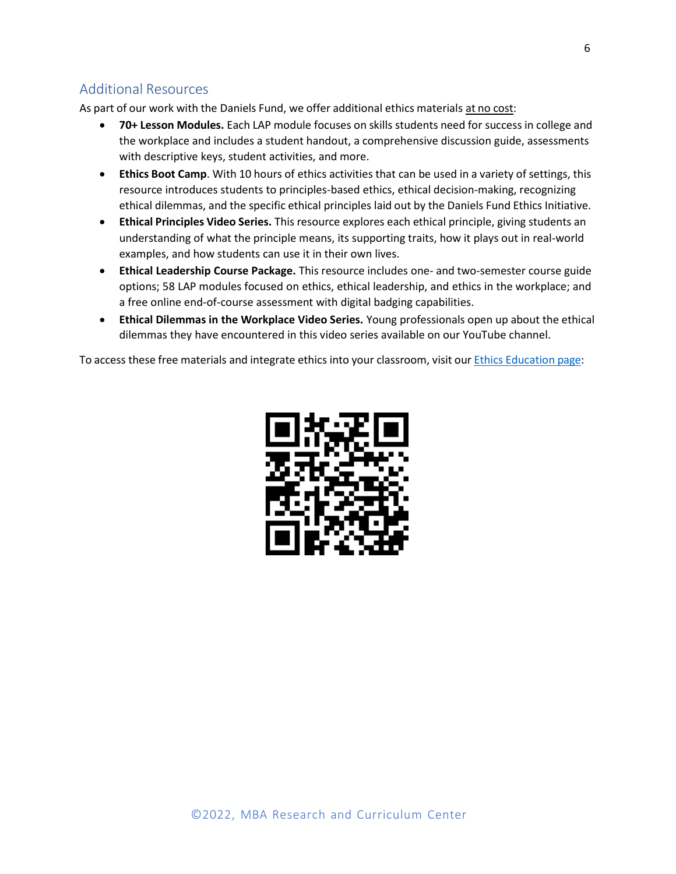# <span id="page-7-0"></span>Additional Resources

As part of our work with the Daniels Fund, we offer additional ethics materials at no cost:

- **70+ Lesson Modules.** Each LAP module focuses on skills students need for success in college and the workplace and includes a student handout, a comprehensive discussion guide, assessments with descriptive keys, student activities, and more.
- **Ethics Boot Camp**. With 10 hours of ethics activities that can be used in a variety of settings, this resource introduces students to principles-based ethics, ethical decision-making, recognizing ethical dilemmas, and the specific ethical principles laid out by the Daniels Fund Ethics Initiative.
- **Ethical Principles Video Series.** This resource explores each ethical principle, giving students an understanding of what the principle means, its supporting traits, how it plays out in real-world examples, and how students can use it in their own lives.
- **Ethical Leadership Course Package.** This resource includes one- and two-semester course guide options; 58 LAP modules focused on ethics, ethical leadership, and ethics in the workplace; and a free online end-of-course assessment with digital badging capabilities.
- **Ethical Dilemmas in the Workplace Video Series.** Young professionals open up about the ethical dilemmas they have encountered in this video series available on our YouTube channel.

To access these free materials and integrate ethics into your classroom, visit our Ethics [Education](https://www.mbaresearch.org/Ethics/) page:

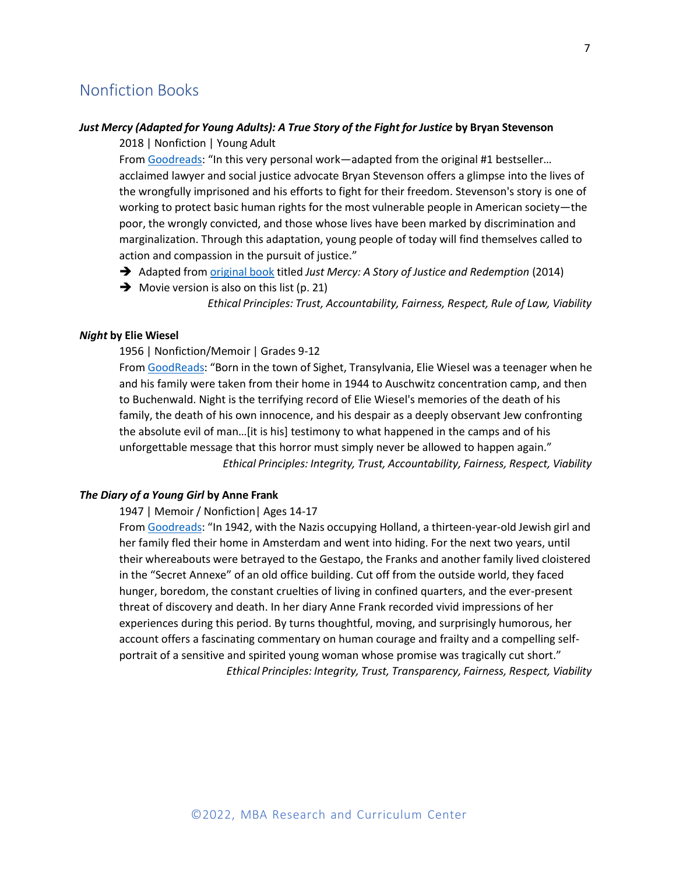# <span id="page-8-0"></span>Nonfiction Books

# *Just Mercy (Adapted for Young Adults): A True Story of the Fight for Justice* **by Bryan Stevenson**

2018 | Nonfiction | Young Adult

From Goodreads: "In this very personal work—adapted from the original #1 bestseller… acclaimed lawyer and social justice advocate Bryan Stevenson offers a glimpse into the lives of the wrongfully imprisoned and his efforts to fight for their freedom. Stevenson's story is one of working to protect basic human rights for the most vulnerable people in American society—the poor, the wrongly convicted, and those whose lives have been marked by discrimination and marginalization. Through this adaptation, young people of today will find themselves called to action and compassion in the pursuit of justice."

- ➔ Adapted from original book titled *Just Mercy: A Story of Justice and Redemption* (2014)
- $\rightarrow$  Movie version is also on this list (p. 21) *Ethical Principles: Trust, Accountability, Fairness, Respect, Rule of Law, Viability*

# *Night* **by Elie Wiesel**

1956 | Nonfiction/Memoir | Grades 9-12

From GoodReads: "Born in the town of Sighet, Transylvania, Elie Wiesel was a teenager when he and his family were taken from their home in 1944 to Auschwitz concentration camp, and then to Buchenwald. Night is the terrifying record of Elie Wiesel's memories of the death of his family, the death of his own innocence, and his despair as a deeply observant Jew confronting the absolute evil of man…[it is his] testimony to what happened in the camps and of his unforgettable message that this horror must simply never be allowed to happen again." *Ethical Principles: Integrity, Trust, Accountability, Fairness, Respect, Viability*

#### *The Diary of a Young Girl* **by Anne Frank**

1947 | Memoir / Nonfiction| Ages 14-17

From Goodreads: "In 1942, with the Nazis occupying Holland, a thirteen-year-old Jewish girl and her family fled their home in Amsterdam and went into hiding. For the next two years, until their whereabouts were betrayed to the Gestapo, the Franks and another family lived cloistered in the "Secret Annexe" of an old office building. Cut off from the outside world, they faced hunger, boredom, the constant cruelties of living in confined quarters, and the ever-present threat of discovery and death. In her diary Anne Frank recorded vivid impressions of her experiences during this period. By turns thoughtful, moving, and surprisingly humorous, her account offers a fascinating commentary on human courage and frailty and a compelling selfportrait of a sensitive and spirited young woman whose promise was tragically cut short." *Ethical Principles: Integrity, Trust, Transparency, Fairness, Respect, Viability*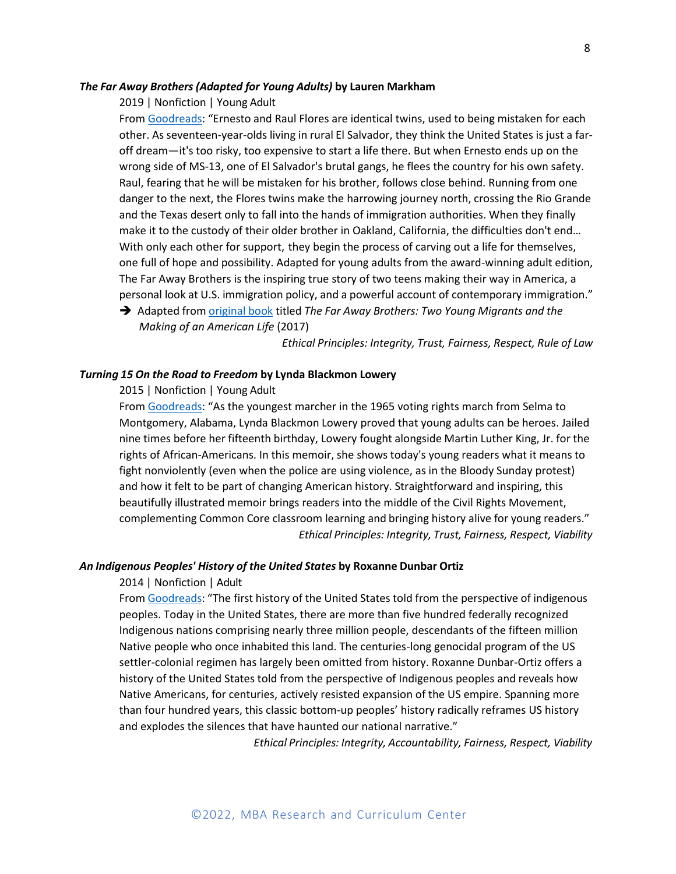### *The Far Away Brothers (Adapted for Young Adults)* **by Lauren Markham**

2019 | Nonfiction | Young Adult

From Goodreads: "Ernesto and Raul Flores are identical twins, used to being mistaken for each other. As seventeen-year-olds living in rural El Salvador, they think the United States is just a faroff dream—it's too risky, too expensive to start a life there. But when Ernesto ends up on the wrong side of MS-13, one of El Salvador's brutal gangs, he flees the country for his own safety. Raul, fearing that he will be mistaken for his brother, follows close behind. Running from one danger to the next, the Flores twins make the harrowing journey north, crossing the Rio Grande and the Texas desert only to fall into the hands of immigration authorities. When they finally make it to the custody of their older brother in Oakland, California, the difficulties don't end… With only each other for support, they begin the process of carving out a life for themselves, one full of hope and possibility. Adapted for young adults from the award-winning adult edition, The Far Away Brothers is the inspiring true story of two teens making their way in America, a personal look at U.S. immigration policy, and a powerful account of contemporary immigration."

➔ Adapted from original book titled *The Far Away Brothers: Two Young Migrants and the Making of an American Life* (2017)

*Ethical Principles: Integrity, Trust, Fairness, Respect, Rule of Law*

#### *Turning 15 On the Road to Freedom* **by Lynda Blackmon Lowery**

2015 | Nonfiction | Young Adult

From Goodreads: "As the youngest marcher in the 1965 voting rights march from Selma to Montgomery, Alabama, Lynda Blackmon Lowery proved that young adults can be heroes. Jailed nine times before her fifteenth birthday, Lowery fought alongside Martin Luther King, Jr. for the rights of African-Americans. In this memoir, she shows today's young readers what it means to fight nonviolently (even when the police are using violence, as in the Bloody Sunday protest) and how it felt to be part of changing American history. Straightforward and inspiring, this beautifully illustrated memoir brings readers into the middle of the Civil Rights Movement, complementing Common Core classroom learning and bringing history alive for young readers." *Ethical Principles: Integrity, Trust, Fairness, Respect, Viability*

#### *An Indigenous Peoples' History of the United States* **by Roxanne Dunbar Ortiz**

# 2014 | Nonfiction | Adult

From Goodreads: "The first history of the United States told from the perspective of indigenous peoples. Today in the United States, there are more than five hundred federally recognized Indigenous nations comprising nearly three million people, descendants of the fifteen million Native people who once inhabited this land. The centuries-long genocidal program of the US settler-colonial regimen has largely been omitted from history. Roxanne Dunbar-Ortiz offers a history of the United States told from the perspective of Indigenous peoples and reveals how Native Americans, for centuries, actively resisted expansion of the US empire. Spanning more than four hundred years, this classic bottom-up peoples' history radically reframes US history and explodes the silences that have haunted our national narrative."

*Ethical Principles: Integrity, Accountability, Fairness, Respect, Viability*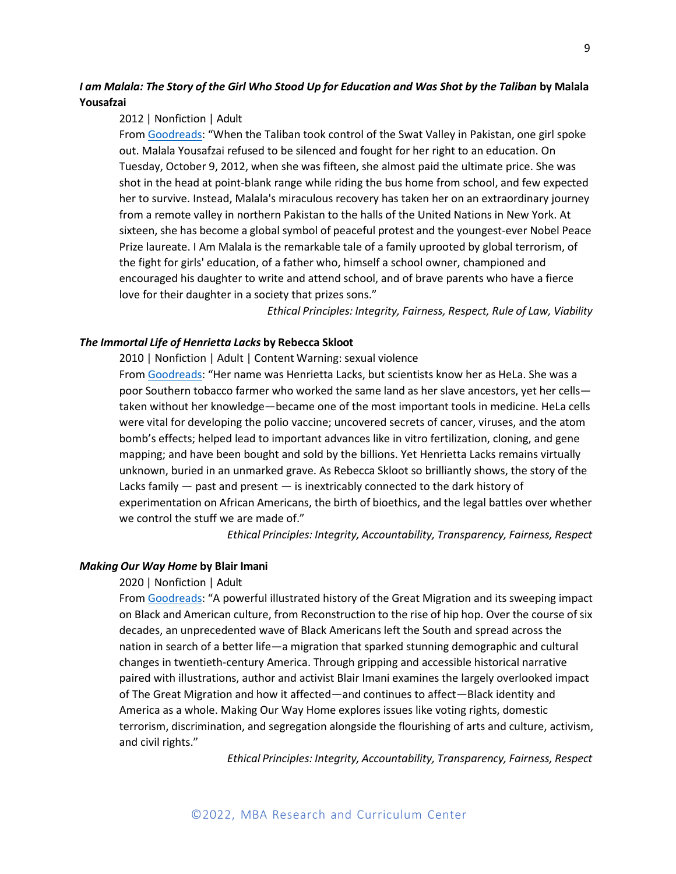# *I am Malala: The Story of the Girl Who Stood Up for Education and Was Shot by the Taliban* **by Malala Yousafzai**

#### 2012 | Nonfiction | Adult

From Goodreads: "When the Taliban took control of the Swat Valley in Pakistan, one girl spoke out. Malala Yousafzai refused to be silenced and fought for her right to an education. On Tuesday, October 9, 2012, when she was fifteen, she almost paid the ultimate price. She was shot in the head at point-blank range while riding the bus home from school, and few expected her to survive. Instead, Malala's miraculous recovery has taken her on an extraordinary journey from a remote valley in northern Pakistan to the halls of the United Nations in New York. At sixteen, she has become a global symbol of peaceful protest and the youngest-ever Nobel Peace Prize laureate. I Am Malala is the remarkable tale of a family uprooted by global terrorism, of the fight for girls' education, of a father who, himself a school owner, championed and encouraged his daughter to write and attend school, and of brave parents who have a fierce love for their daughter in a society that prizes sons."

*Ethical Principles: Integrity, Fairness, Respect, Rule of Law, Viability*

# *The Immortal Life of Henrietta Lacks* **by Rebecca Skloot**

2010 | Nonfiction | Adult | Content Warning: sexual violence From Goodreads: "Her name was Henrietta Lacks, but scientists know her as HeLa. She was a poor Southern tobacco farmer who worked the same land as her slave ancestors, yet her cells taken without her knowledge—became one of the most important tools in medicine. HeLa cells were vital for developing the polio vaccine; uncovered secrets of cancer, viruses, and the atom bomb's effects; helped lead to important advances like in vitro fertilization, cloning, and gene mapping; and have been bought and sold by the billions. Yet Henrietta Lacks remains virtually unknown, buried in an unmarked grave. As Rebecca Skloot so brilliantly shows, the story of the Lacks family — past and present — is inextricably connected to the dark history of experimentation on African Americans, the birth of bioethics, and the legal battles over whether we control the stuff we are made of."

*Ethical Principles: Integrity, Accountability, Transparency, Fairness, Respect*

# *Making Our Way Home* **by Blair Imani**

# 2020 | Nonfiction | Adult

From Goodreads: "A powerful illustrated history of the Great Migration and its sweeping impact on Black and American culture, from Reconstruction to the rise of hip hop. Over the course of six decades, an unprecedented wave of Black Americans left the South and spread across the nation in search of a better life—a migration that sparked stunning demographic and cultural changes in twentieth-century America. Through gripping and accessible historical narrative paired with illustrations, author and activist Blair Imani examines the largely overlooked impact of The Great Migration and how it affected—and continues to affect—Black identity and America as a whole. Making Our Way Home explores issues like voting rights, domestic terrorism, discrimination, and segregation alongside the flourishing of arts and culture, activism, and civil rights."

*Ethical Principles: Integrity, Accountability, Transparency, Fairness, Respect*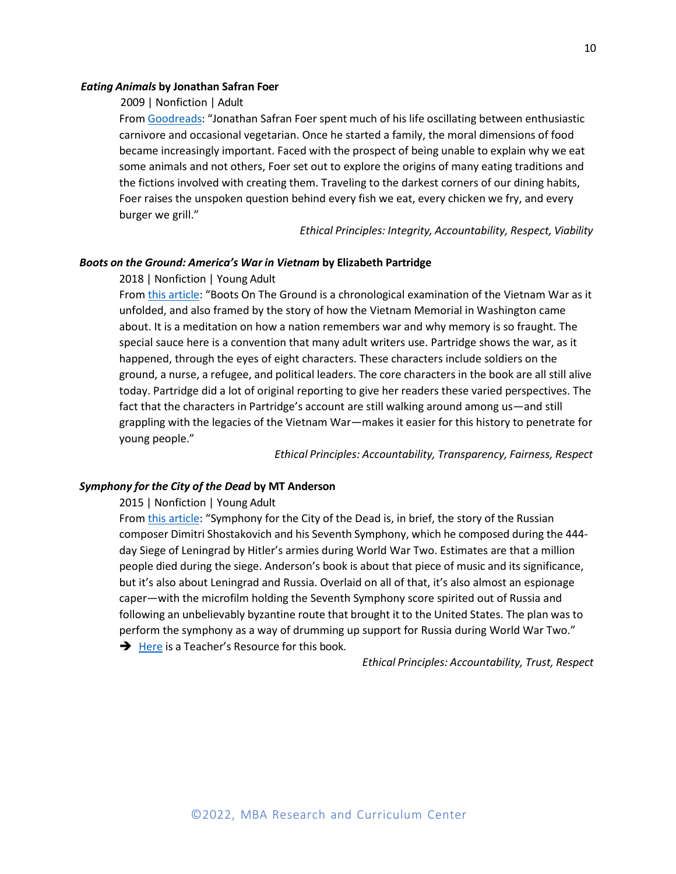#### *Eating Animals* **by Jonathan Safran Foer**

# 2009 | Nonfiction | Adult

From Goodreads: "Jonathan Safran Foer spent much of his life oscillating between enthusiastic carnivore and occasional vegetarian. Once he started a family, the moral dimensions of food became increasingly important. Faced with the prospect of being unable to explain why we eat some animals and not others, Foer set out to explore the origins of many eating traditions and the fictions involved with creating them. Traveling to the darkest corners of our dining habits, Foer raises the unspoken question behind every fish we eat, every chicken we fry, and every burger we grill."

*Ethical Principles: Integrity, Accountability, Respect, Viability*

# *Boots on the Ground: America's War in Vietnam* **by Elizabeth Partridge**

# 2018 | Nonfiction | Young Adult

From this article: "Boots On The Ground is a chronological examination of the Vietnam War as it unfolded, and also framed by the story of how the Vietnam Memorial in Washington came about. It is a meditation on how a nation remembers war and why memory is so fraught. The special sauce here is a convention that many adult writers use. Partridge shows the war, as it happened, through the eyes of eight characters. These characters include soldiers on the ground, a nurse, a refugee, and political leaders. The core characters in the book are all still alive today. Partridge did a lot of original reporting to give her readers these varied perspectives. The fact that the characters in Partridge's account are still walking around among us—and still grappling with the legacies of the Vietnam War—makes it easier for this history to penetrate for young people."

*Ethical Principles: Accountability, Transparency, Fairness, Respect*

# *Symphony for the City of the Dead* **by MT Anderson**

2015 | Nonfiction | Young Adult

From this article: "Symphony for the City of the Dead is, in brief, the story of the Russian composer Dimitri Shostakovich and his Seventh Symphony, which he composed during the 444 day Siege of Leningrad by Hitler's armies during World War Two. Estimates are that a million people died during the siege. Anderson's book is about that piece of music and its significance, but it's also about Leningrad and Russia. Overlaid on all of that, it's also almost an espionage caper—with the microfilm holding the Seventh Symphony score spirited out of Russia and following an unbelievably byzantine route that brought it to the United States. The plan was to perform the symphony as a way of drumming up support for Russia during World War Two."

**→** Here is a Teacher's Resource for this book.

*Ethical Principles: Accountability, Trust, Respect*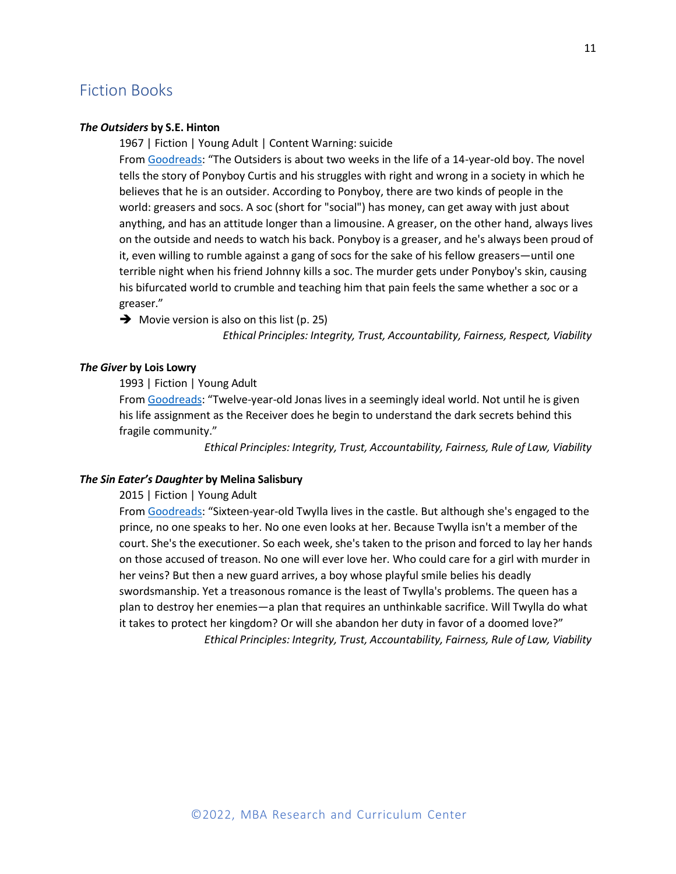# <span id="page-12-0"></span>Fiction Books

# *The Outsiders* **by S.E. Hinton**

1967 | Fiction | Young Adult | Content Warning: suicide

From Goodreads: "The Outsiders is about two weeks in the life of a 14-year-old boy. The novel tells the story of Ponyboy Curtis and his struggles with right and wrong in a society in which he believes that he is an outsider. According to Ponyboy, there are two kinds of people in the world: greasers and socs. A soc (short for "social") has money, can get away with just about anything, and has an attitude longer than a limousine. A greaser, on the other hand, always lives on the outside and needs to watch his back. Ponyboy is a greaser, and he's always been proud of it, even willing to rumble against a gang of socs for the sake of his fellow greasers—until one terrible night when his friend Johnny kills a soc. The murder gets under Ponyboy's skin, causing his bifurcated world to crumble and teaching him that pain feels the same whether a soc or a greaser."

 $\rightarrow$  Movie version is also on this list (p. 25)

*Ethical Principles: Integrity, Trust, Accountability, Fairness, Respect, Viability*

# *The Giver* **by Lois Lowry**

# 1993 | Fiction | Young Adult

From Goodreads: "Twelve-year-old Jonas lives in a seemingly ideal world. Not until he is given his life assignment as the Receiver does he begin to understand the dark secrets behind this fragile community."

*Ethical Principles: Integrity, Trust, Accountability, Fairness, Rule of Law, Viability*

# *The Sin Eater's Daughter* **by Melina Salisbury**

#### 2015 | Fiction | Young Adult

From Goodreads: "Sixteen-year-old Twylla lives in the castle. But although she's engaged to the prince, no one speaks to her. No one even looks at her. Because Twylla isn't a member of the court. She's the executioner. So each week, she's taken to the prison and forced to lay her hands on those accused of treason. No one will ever love her. Who could care for a girl with murder in her veins? But then a new guard arrives, a boy whose playful smile belies his deadly swordsmanship. Yet a treasonous romance is the least of Twylla's problems. The queen has a plan to destroy her enemies—a plan that requires an unthinkable sacrifice. Will Twylla do what it takes to protect her kingdom? Or will she abandon her duty in favor of a doomed love?" *Ethical Principles: Integrity, Trust, Accountability, Fairness, Rule of Law, Viability*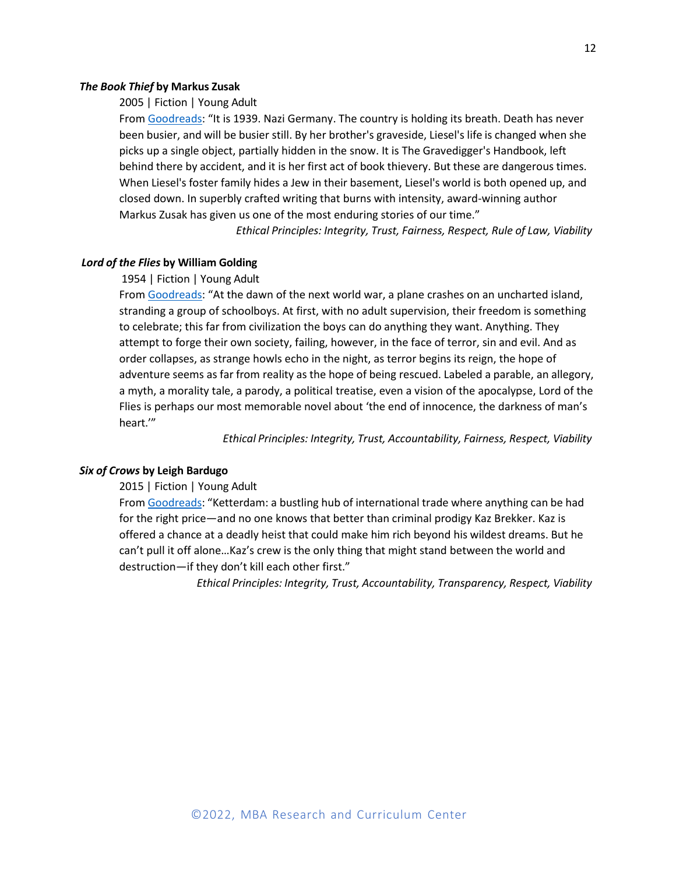#### *The Book Thief* **by Markus Zusak**

2005 | Fiction | Young Adult

From Goodreads: "It is 1939. Nazi Germany. The country is holding its breath. Death has never been busier, and will be busier still. By her brother's graveside, Liesel's life is changed when she picks up a single object, partially hidden in the snow. It is The Gravedigger's Handbook, left behind there by accident, and it is her first act of book thievery. But these are dangerous times. When Liesel's foster family hides a Jew in their basement, Liesel's world is both opened up, and closed down. In superbly crafted writing that burns with intensity, award-winning author Markus Zusak has given us one of the most enduring stories of our time."

*Ethical Principles: Integrity, Trust, Fairness, Respect, Rule of Law, Viability*

# *Lord of the Flies* **by William Golding**

#### 1954 | Fiction | Young Adult

From Goodreads: "At the dawn of the next world war, a plane crashes on an uncharted island, stranding a group of schoolboys. At first, with no adult supervision, their freedom is something to celebrate; this far from civilization the boys can do anything they want. Anything. They attempt to forge their own society, failing, however, in the face of terror, sin and evil. And as order collapses, as strange howls echo in the night, as terror begins its reign, the hope of adventure seems as far from reality as the hope of being rescued. Labeled a parable, an allegory, a myth, a morality tale, a parody, a political treatise, even a vision of the apocalypse, Lord of the Flies is perhaps our most memorable novel about 'the end of innocence, the darkness of man's heart.'"

*Ethical Principles: Integrity, Trust, Accountability, Fairness, Respect, Viability*

#### *Six of Crows* **by Leigh Bardugo**

2015 | Fiction | Young Adult

From Goodreads: "Ketterdam: a bustling hub of international trade where anything can be had for the right price—and no one knows that better than criminal prodigy Kaz Brekker. Kaz is offered a chance at a deadly heist that could make him rich beyond his wildest dreams. But he can't pull it off alone…Kaz's crew is the only thing that might stand between the world and destruction—if they don't kill each other first."

*Ethical Principles: Integrity, Trust, Accountability, Transparency, Respect, Viability*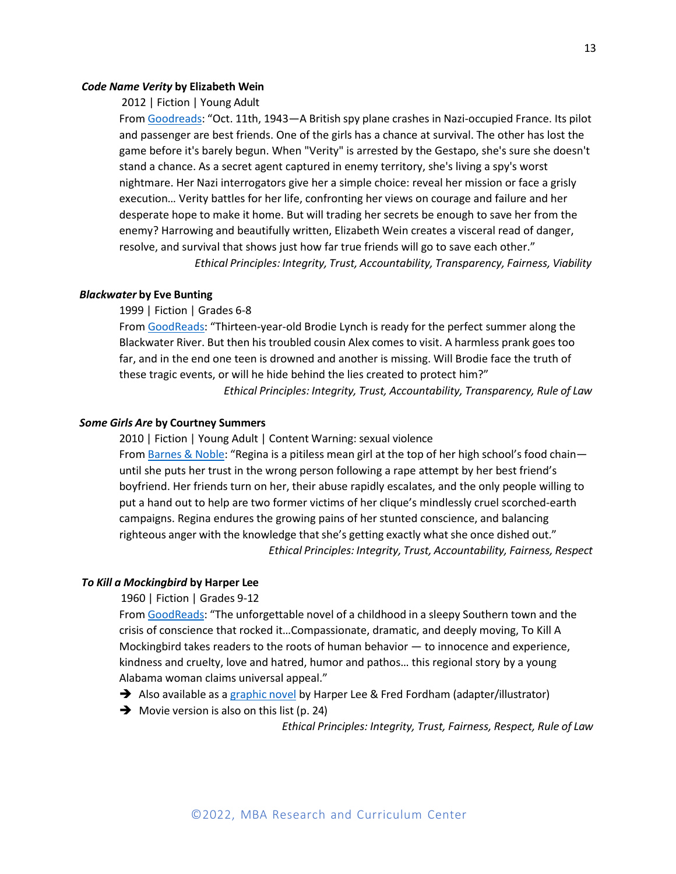#### *Code Name Verity* **by Elizabeth Wein**

2012 | Fiction | Young Adult

From Goodreads: "Oct. 11th, 1943—A British spy plane crashes in Nazi-occupied France. Its pilot and passenger are best friends. One of the girls has a chance at survival. The other has lost the game before it's barely begun. When "Verity" is arrested by the Gestapo, she's sure she doesn't stand a chance. As a secret agent captured in enemy territory, she's living a spy's worst nightmare. Her Nazi interrogators give her a simple choice: reveal her mission or face a grisly execution… Verity battles for her life, confronting her views on courage and failure and her desperate hope to make it home. But will trading her secrets be enough to save her from the enemy? Harrowing and beautifully written, Elizabeth Wein creates a visceral read of danger, resolve, and survival that shows just how far true friends will go to save each other."

*Ethical Principles: Integrity, Trust, Accountability, Transparency, Fairness, Viability*

# *Blackwater* **by Eve Bunting**

1999 | Fiction | Grades 6-8

From GoodReads: "Thirteen-year-old Brodie Lynch is ready for the perfect summer along the Blackwater River. But then his troubled cousin Alex comes to visit. A harmless prank goes too far, and in the end one teen is drowned and another is missing. Will Brodie face the truth of these tragic events, or will he hide behind the lies created to protect him?"

*Ethical Principles: Integrity, Trust, Accountability, Transparency, Rule of Law*

#### *Some Girls Are* **by Courtney Summers**

2010 | Fiction | Young Adult | Content Warning: sexual violence From Barnes & Noble: "Regina is a pitiless mean girl at the top of her high school's food chainuntil she puts her trust in the wrong person following a rape attempt by her best friend's boyfriend. Her friends turn on her, their abuse rapidly escalates, and the only people willing to put a hand out to help are two former victims of her clique's mindlessly cruel scorched-earth campaigns. Regina endures the growing pains of her stunted conscience, and balancing righteous anger with the knowledge that she's getting exactly what she once dished out." *Ethical Principles: Integrity, Trust, Accountability, Fairness, Respect*

# *To Kill a Mockingbird* **by Harper Lee**

# 1960 | Fiction | Grades 9-12

From GoodReads: "The unforgettable novel of a childhood in a sleepy Southern town and the crisis of conscience that rocked it…Compassionate, dramatic, and deeply moving, To Kill A Mockingbird takes readers to the roots of human behavior  $-$  to innocence and experience, kindness and cruelty, love and hatred, humor and pathos… this regional story by a young Alabama woman claims universal appeal."

- → Also available as a graphic novel by Harper Lee & Fred Fordham (adapter/illustrator)
- $\rightarrow$  Movie version is also on this list (p. 24)

*Ethical Principles: Integrity, Trust, Fairness, Respect, Rule of Law*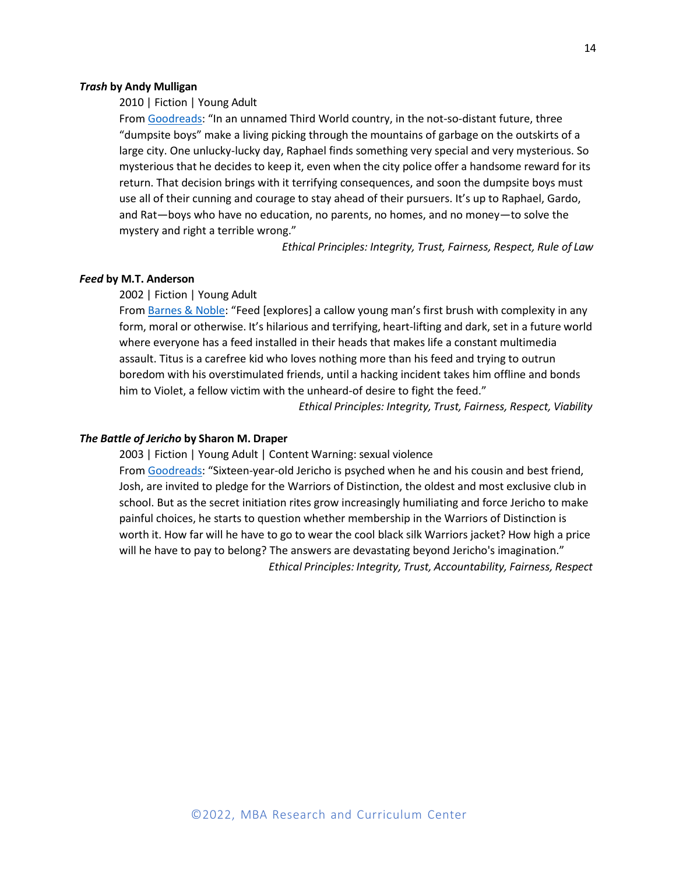# *Trash* **by Andy Mulligan**

2010 | Fiction | Young Adult

From Goodreads: "In an unnamed Third World country, in the not-so-distant future, three "dumpsite boys" make a living picking through the mountains of garbage on the outskirts of a large city. One unlucky-lucky day, Raphael finds something very special and very mysterious. So mysterious that he decides to keep it, even when the city police offer a handsome reward for its return. That decision brings with it terrifying consequences, and soon the dumpsite boys must use all of their cunning and courage to stay ahead of their pursuers. It's up to Raphael, Gardo, and Rat—boys who have no education, no parents, no homes, and no money—to solve the mystery and right a terrible wrong."

*Ethical Principles: Integrity, Trust, Fairness, Respect, Rule of Law*

# *Feed* **by M.T. Anderson**

2002 | Fiction | Young Adult

From Barnes & Noble: "Feed [explores] a callow young man's first brush with complexity in any form, moral or otherwise. It's hilarious and terrifying, heart-lifting and dark, set in a future world where everyone has a feed installed in their heads that makes life a constant multimedia assault. Titus is a carefree kid who loves nothing more than his feed and trying to outrun boredom with his overstimulated friends, until a hacking incident takes him offline and bonds him to Violet, a fellow victim with the unheard-of desire to fight the feed."

*Ethical Principles: Integrity, Trust, Fairness, Respect, Viability*

# *The Battle of Jericho* **by Sharon M. Draper**

2003 | Fiction | Young Adult | Content Warning: sexual violence

From Goodreads: "Sixteen-year-old Jericho is psyched when he and his cousin and best friend, Josh, are invited to pledge for the Warriors of Distinction, the oldest and most exclusive club in school. But as the secret initiation rites grow increasingly humiliating and force Jericho to make painful choices, he starts to question whether membership in the Warriors of Distinction is worth it. How far will he have to go to wear the cool black silk Warriors jacket? How high a price will he have to pay to belong? The answers are devastating beyond Jericho's imagination." *Ethical Principles: Integrity, Trust, Accountability, Fairness, Respect*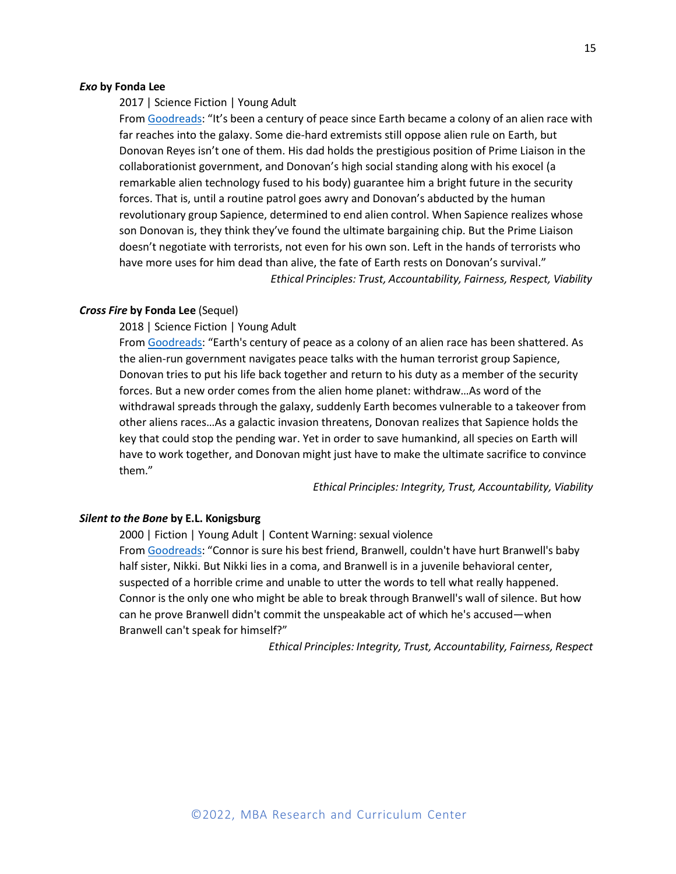#### *Exo* **by Fonda Lee**

2017 | Science Fiction | Young Adult

From Goodreads: "It's been a century of peace since Earth became a colony of an alien race with far reaches into the galaxy. Some die-hard extremists still oppose alien rule on Earth, but Donovan Reyes isn't one of them. His dad holds the prestigious position of Prime Liaison in the collaborationist government, and Donovan's high social standing along with his exocel (a remarkable alien technology fused to his body) guarantee him a bright future in the security forces. That is, until a routine patrol goes awry and Donovan's abducted by the human revolutionary group Sapience, determined to end alien control. When Sapience realizes whose son Donovan is, they think they've found the ultimate bargaining chip. But the Prime Liaison doesn't negotiate with terrorists, not even for his own son. Left in the hands of terrorists who have more uses for him dead than alive, the fate of Earth rests on Donovan's survival." *Ethical Principles: Trust, Accountability, Fairness, Respect, Viability*

# *Cross Fire* **by Fonda Lee** (Sequel)

2018 | Science Fiction | Young Adult

From Goodreads: "Earth's century of peace as a colony of an alien race has been shattered. As the alien-run government navigates peace talks with the human terrorist group Sapience, Donovan tries to put his life back together and return to his duty as a member of the security forces. But a new order comes from the alien home planet: withdraw…As word of the withdrawal spreads through the galaxy, suddenly Earth becomes vulnerable to a takeover from other aliens races…As a galactic invasion threatens, Donovan realizes that Sapience holds the key that could stop the pending war. Yet in order to save humankind, all species on Earth will have to work together, and Donovan might just have to make the ultimate sacrifice to convince them."

*Ethical Principles: Integrity, Trust, Accountability, Viability*

#### *Silent to the Bone* **by E.L. Konigsburg**

2000 | Fiction | Young Adult | Content Warning: sexual violence From Goodreads: "Connor is sure his best friend, Branwell, couldn't have hurt Branwell's baby half sister, Nikki. But Nikki lies in a coma, and Branwell is in a juvenile behavioral center, suspected of a horrible crime and unable to utter the words to tell what really happened. Connor is the only one who might be able to break through Branwell's wall of silence. But how can he prove Branwell didn't commit the unspeakable act of which he's accused—when Branwell can't speak for himself?"

*Ethical Principles: Integrity, Trust, Accountability, Fairness, Respect*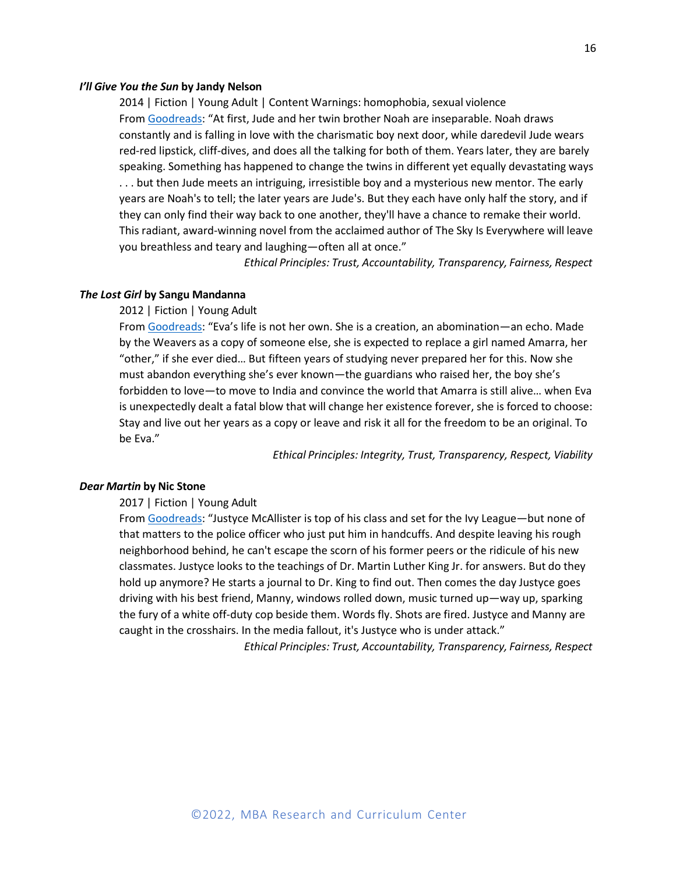#### *I'll Give You the Sun* **by Jandy Nelson**

2014 | Fiction | Young Adult | Content Warnings: homophobia, sexual violence From Goodreads: "At first, Jude and her twin brother Noah are inseparable. Noah draws constantly and is falling in love with the charismatic boy next door, while daredevil Jude wears red-red lipstick, cliff-dives, and does all the talking for both of them. Years later, they are barely speaking. Something has happened to change the twins in different yet equally devastating ways . . . but then Jude meets an intriguing, irresistible boy and a mysterious new mentor. The early years are Noah's to tell; the later years are Jude's. But they each have only half the story, and if they can only find their way back to one another, they'll have a chance to remake their world. This radiant, award-winning novel from the acclaimed author of The Sky Is Everywhere will leave you breathless and teary and laughing—often all at once."

*Ethical Principles: Trust, Accountability, Transparency, Fairness, Respect*

# *The Lost Girl* **by Sangu Mandanna**

#### 2012 | Fiction | Young Adult

From Goodreads: "Eva's life is not her own. She is a creation, an abomination—an echo. Made by the Weavers as a copy of someone else, she is expected to replace a girl named Amarra, her "other," if she ever died… But fifteen years of studying never prepared her for this. Now she must abandon everything she's ever known—the guardians who raised her, the boy she's forbidden to love—to move to India and convince the world that Amarra is still alive… when Eva is unexpectedly dealt a fatal blow that will change her existence forever, she is forced to choose: Stay and live out her years as a copy or leave and risk it all for the freedom to be an original. To be Eva."

*Ethical Principles: Integrity, Trust, Transparency, Respect, Viability*

### *Dear Martin* **by Nic Stone**

2017 | Fiction | Young Adult

From Goodreads: "Justyce McAllister is top of his class and set for the Ivy League—but none of that matters to the police officer who just put him in handcuffs. And despite leaving his rough neighborhood behind, he can't escape the scorn of his former peers or the ridicule of his new classmates. Justyce looks to the teachings of Dr. Martin Luther King Jr. for answers. But do they hold up anymore? He starts a journal to Dr. King to find out. Then comes the day Justyce goes driving with his best friend, Manny, windows rolled down, music turned up—way up, sparking the fury of a white off-duty cop beside them. Words fly. Shots are fired. Justyce and Manny are caught in the crosshairs. In the media fallout, it's Justyce who is under attack."

*Ethical Principles: Trust, Accountability, Transparency, Fairness, Respect*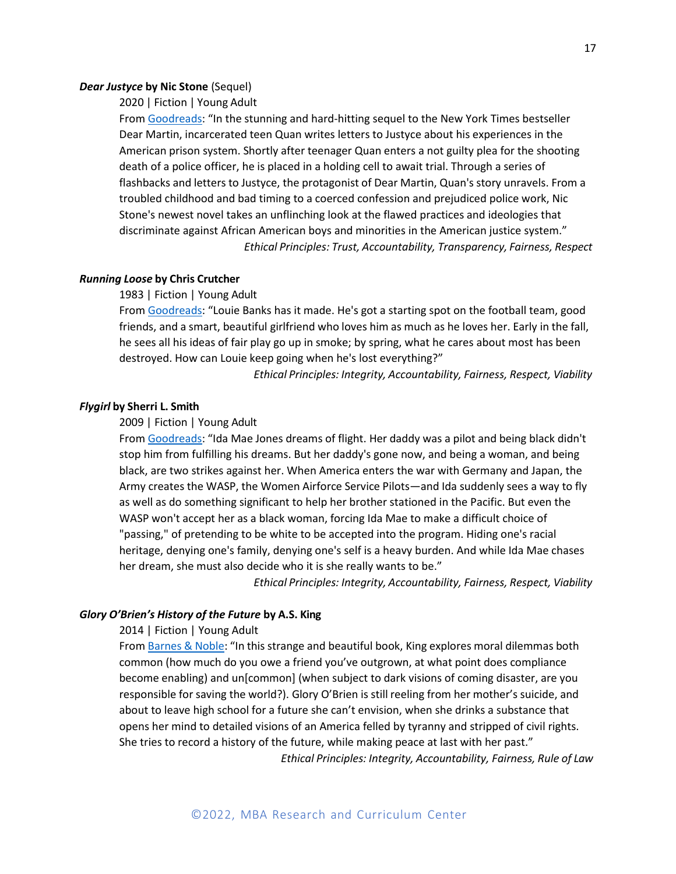#### *Dear Justyce* **by Nic Stone** (Sequel)

2020 | Fiction | Young Adult

From Goodreads: "In the stunning and hard-hitting sequel to the New York Times bestseller Dear Martin, incarcerated teen Quan writes letters to Justyce about his experiences in the American prison system. Shortly after teenager Quan enters a not guilty plea for the shooting death of a police officer, he is placed in a holding cell to await trial. Through a series of flashbacks and letters to Justyce, the protagonist of Dear Martin, Quan's story unravels. From a troubled childhood and bad timing to a coerced confession and prejudiced police work, Nic Stone's newest novel takes an unflinching look at the flawed practices and ideologies that discriminate against African American boys and minorities in the American justice system." *Ethical Principles: Trust, Accountability, Transparency, Fairness, Respect*

# *Running Loose* **by Chris Crutcher**

1983 | Fiction | Young Adult

From Goodreads: "Louie Banks has it made. He's got a starting spot on the football team, good friends, and a smart, beautiful girlfriend who loves him as much as he loves her. Early in the fall, he sees all his ideas of fair play go up in smoke; by spring, what he cares about most has been destroyed. How can Louie keep going when he's lost everything?"

*Ethical Principles: Integrity, Accountability, Fairness, Respect, Viability*

# *Flygirl* **by Sherri L. Smith**

#### 2009 | Fiction | Young Adult

From Goodreads: "Ida Mae Jones dreams of flight. Her daddy was a pilot and being black didn't stop him from fulfilling his dreams. But her daddy's gone now, and being a woman, and being black, are two strikes against her. When America enters the war with Germany and Japan, the Army creates the WASP, the Women Airforce Service Pilots—and Ida suddenly sees a way to fly as well as do something significant to help her brother stationed in the Pacific. But even the WASP won't accept her as a black woman, forcing Ida Mae to make a difficult choice of "passing," of pretending to be white to be accepted into the program. Hiding one's racial heritage, denying one's family, denying one's self is a heavy burden. And while Ida Mae chases her dream, she must also decide who it is she really wants to be."

*Ethical Principles: Integrity, Accountability, Fairness, Respect, Viability*

# *Glory O'Brien's History of the Future* **by A.S. King**

2014 | Fiction | Young Adult

From Barnes & Noble: "In this strange and beautiful book, King explores moral dilemmas both common (how much do you owe a friend you've outgrown, at what point does compliance become enabling) and un[common] (when subject to dark visions of coming disaster, are you responsible for saving the world?). Glory O'Brien is still reeling from her mother's suicide, and about to leave high school for a future she can't envision, when she drinks a substance that opens her mind to detailed visions of an America felled by tyranny and stripped of civil rights. She tries to record a history of the future, while making peace at last with her past." *Ethical Principles: Integrity, Accountability, Fairness, Rule of Law*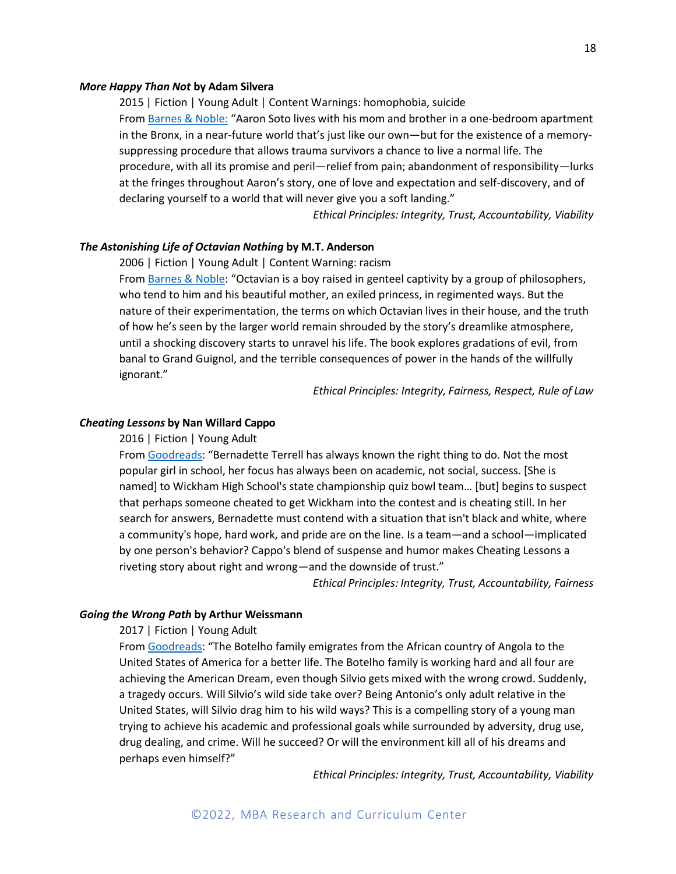#### *More Happy Than Not* **by Adam Silvera**

2015 | Fiction | Young Adult | Content Warnings: homophobia, suicide From Barnes & Noble: "Aaron Soto lives with his mom and brother in a one-bedroom apartment in the Bronx, in a near-future world that's just like our own—but for the existence of a memorysuppressing procedure that allows trauma survivors a chance to live a normal life. The procedure, with all its promise and peril—relief from pain; abandonment of responsibility—lurks at the fringes throughout Aaron's story, one of love and expectation and self-discovery, and of declaring yourself to a world that will never give you a soft landing."

*Ethical Principles: Integrity, Trust, Accountability, Viability*

#### *The Astonishing Life of Octavian Nothing* **by M.T. Anderson**

2006 | Fiction | Young Adult | Content Warning: racism

From Barnes & Noble: "Octavian is a boy raised in genteel captivity by a group of philosophers, who tend to him and his beautiful mother, an exiled princess, in regimented ways. But the nature of their experimentation, the terms on which Octavian lives in their house, and the truth of how he's seen by the larger world remain shrouded by the story's dreamlike atmosphere, until a shocking discovery starts to unravel his life. The book explores gradations of evil, from banal to Grand Guignol, and the terrible consequences of power in the hands of the willfully ignorant."

*Ethical Principles: Integrity, Fairness, Respect, Rule of Law*

#### *Cheating Lessons* **by Nan Willard Cappo**

2016 | Fiction | Young Adult

From Goodreads: "Bernadette Terrell has always known the right thing to do. Not the most popular girl in school, her focus has always been on academic, not social, success. [She is named] to Wickham High School's state championship quiz bowl team… [but] begins to suspect that perhaps someone cheated to get Wickham into the contest and is cheating still. In her search for answers, Bernadette must contend with a situation that isn't black and white, where a community's hope, hard work, and pride are on the line. Is a team—and a school—implicated by one person's behavior? Cappo's blend of suspense and humor makes Cheating Lessons a riveting story about right and wrong—and the downside of trust."

*Ethical Principles: Integrity, Trust, Accountability, Fairness*

# *Going the Wrong Path* **by Arthur Weissmann**

2017 | Fiction | Young Adult

From Goodreads: "The Botelho family emigrates from the African country of Angola to the United States of America for a better life. The Botelho family is working hard and all four are achieving the American Dream, even though Silvio gets mixed with the wrong crowd. Suddenly, a tragedy occurs. Will Silvio's wild side take over? Being Antonio's only adult relative in the United States, will Silvio drag him to his wild ways? This is a compelling story of a young man trying to achieve his academic and professional goals while surrounded by adversity, drug use, drug dealing, and crime. Will he succeed? Or will the environment kill all of his dreams and perhaps even himself?"

*Ethical Principles: Integrity, Trust, Accountability, Viability*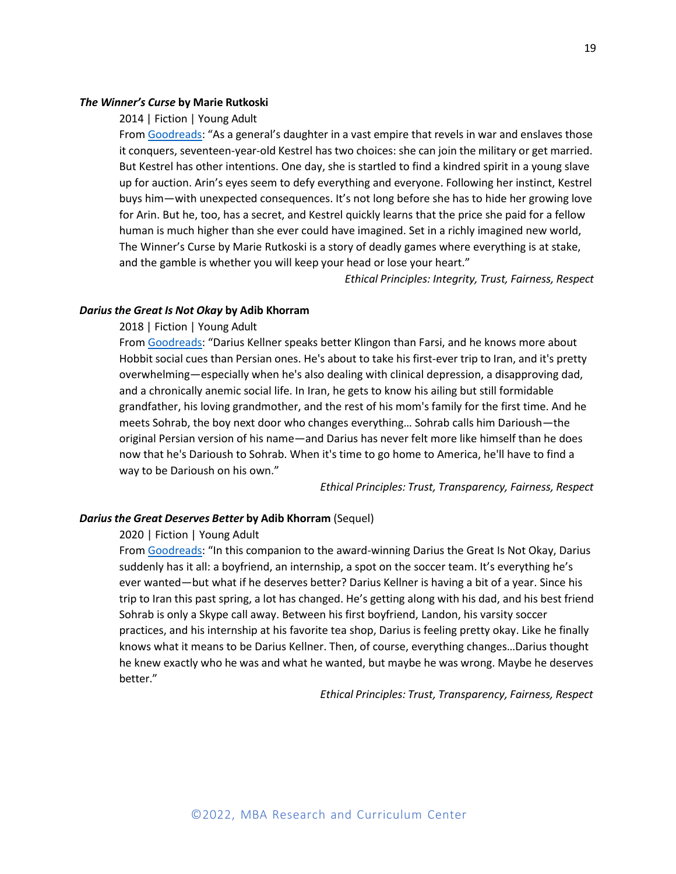# *The Winner's Curse* **by Marie Rutkoski**

#### 2014 | Fiction | Young Adult

From Goodreads: "As a general's daughter in a vast empire that revels in war and enslaves those it conquers, seventeen-year-old Kestrel has two choices: she can join the military or get married. But Kestrel has other intentions. One day, she is startled to find a kindred spirit in a young slave up for auction. Arin's eyes seem to defy everything and everyone. Following her instinct, Kestrel buys him—with unexpected consequences. It's not long before she has to hide her growing love for Arin. But he, too, has a secret, and Kestrel quickly learns that the price she paid for a fellow human is much higher than she ever could have imagined. Set in a richly imagined new world, The Winner's Curse by Marie Rutkoski is a story of deadly games where everything is at stake, and the gamble is whether you will keep your head or lose your heart."

*Ethical Principles: Integrity, Trust, Fairness, Respect*

# *Darius the Great Is Not Okay* **by Adib Khorram**

# 2018 | Fiction | Young Adult

From Goodreads: "Darius Kellner speaks better Klingon than Farsi, and he knows more about Hobbit social cues than Persian ones. He's about to take his first-ever trip to Iran, and it's pretty overwhelming—especially when he's also dealing with clinical depression, a disapproving dad, and a chronically anemic social life. In Iran, he gets to know his ailing but still formidable grandfather, his loving grandmother, and the rest of his mom's family for the first time. And he meets Sohrab, the boy next door who changes everything… Sohrab calls him Darioush—the original Persian version of his name—and Darius has never felt more like himself than he does now that he's Darioush to Sohrab. When it's time to go home to America, he'll have to find a way to be Darioush on his own."

*Ethical Principles: Trust, Transparency, Fairness, Respect*

# *Dariusthe Great Deserves Better* **by Adib Khorram** (Sequel)

# 2020 | Fiction | Young Adult

From Goodreads: "In this companion to the award-winning Darius the Great Is Not Okay, Darius suddenly has it all: a boyfriend, an internship, a spot on the soccer team. It's everything he's ever wanted—but what if he deserves better? Darius Kellner is having a bit of a year. Since his trip to Iran this past spring, a lot has changed. He's getting along with his dad, and his best friend Sohrab is only a Skype call away. Between his first boyfriend, Landon, his varsity soccer practices, and his internship at his favorite tea shop, Darius is feeling pretty okay. Like he finally knows what it means to be Darius Kellner. Then, of course, everything changes…Darius thought he knew exactly who he was and what he wanted, but maybe he was wrong. Maybe he deserves better."

*Ethical Principles: Trust, Transparency, Fairness, Respect*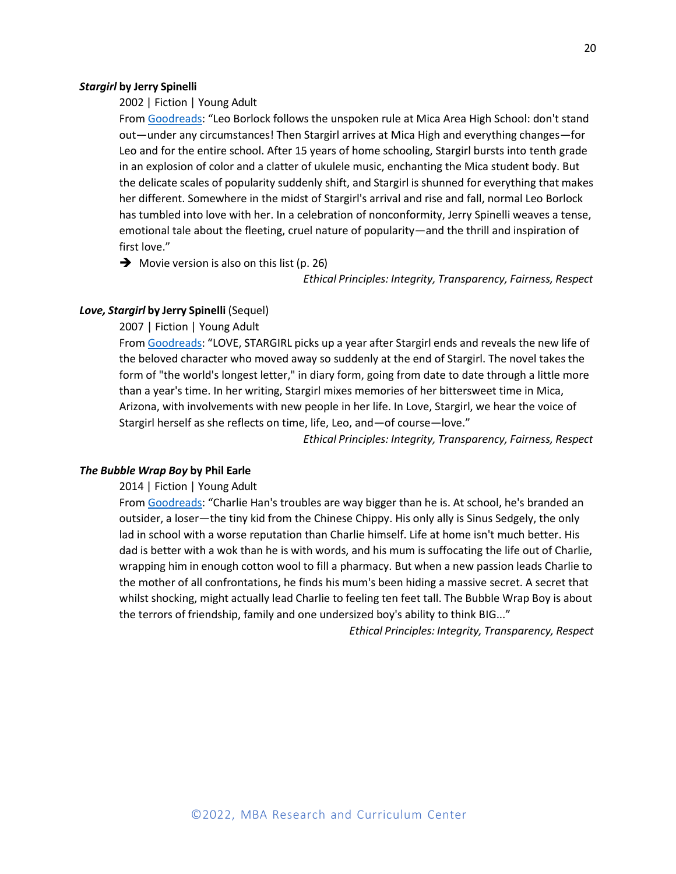#### *Stargirl* **by Jerry Spinelli**

2002 | Fiction | Young Adult

From Goodreads: "Leo Borlock follows the unspoken rule at Mica Area High School: don't stand out—under any circumstances! Then Stargirl arrives at Mica High and everything changes—for Leo and for the entire school. After 15 years of home schooling, Stargirl bursts into tenth grade in an explosion of color and a clatter of ukulele music, enchanting the Mica student body. But the delicate scales of popularity suddenly shift, and Stargirl is shunned for everything that makes her different. Somewhere in the midst of Stargirl's arrival and rise and fall, normal Leo Borlock has tumbled into love with her. In a celebration of nonconformity, Jerry Spinelli weaves a tense, emotional tale about the fleeting, cruel nature of popularity—and the thrill and inspiration of first love."

 $\rightarrow$  Movie version is also on this list (p. 26)

*Ethical Principles: Integrity, Transparency, Fairness, Respect*

# *Love, Stargirl* **by Jerry Spinelli** (Sequel)

2007 | Fiction | Young Adult

From Goodreads: "LOVE, STARGIRL picks up a year after Stargirl ends and reveals the new life of the beloved character who moved away so suddenly at the end of Stargirl. The novel takes the form of "the world's longest letter," in diary form, going from date to date through a little more than a year's time. In her writing, Stargirl mixes memories of her bittersweet time in Mica, Arizona, with involvements with new people in her life. In Love, Stargirl, we hear the voice of Stargirl herself as she reflects on time, life, Leo, and—of course—love."

*Ethical Principles: Integrity, Transparency, Fairness, Respect*

#### *The Bubble Wrap Boy* **by Phil Earle**

2014 | Fiction | Young Adult

From Goodreads: "Charlie Han's troubles are way bigger than he is. At school, he's branded an outsider, a loser—the tiny kid from the Chinese Chippy. His only ally is Sinus Sedgely, the only lad in school with a worse reputation than Charlie himself. Life at home isn't much better. His dad is better with a wok than he is with words, and his mum is suffocating the life out of Charlie, wrapping him in enough cotton wool to fill a pharmacy. But when a new passion leads Charlie to the mother of all confrontations, he finds his mum's been hiding a massive secret. A secret that whilst shocking, might actually lead Charlie to feeling ten feet tall. The Bubble Wrap Boy is about the terrors of friendship, family and one undersized boy's ability to think BIG..."

*Ethical Principles: Integrity, Transparency, Respect*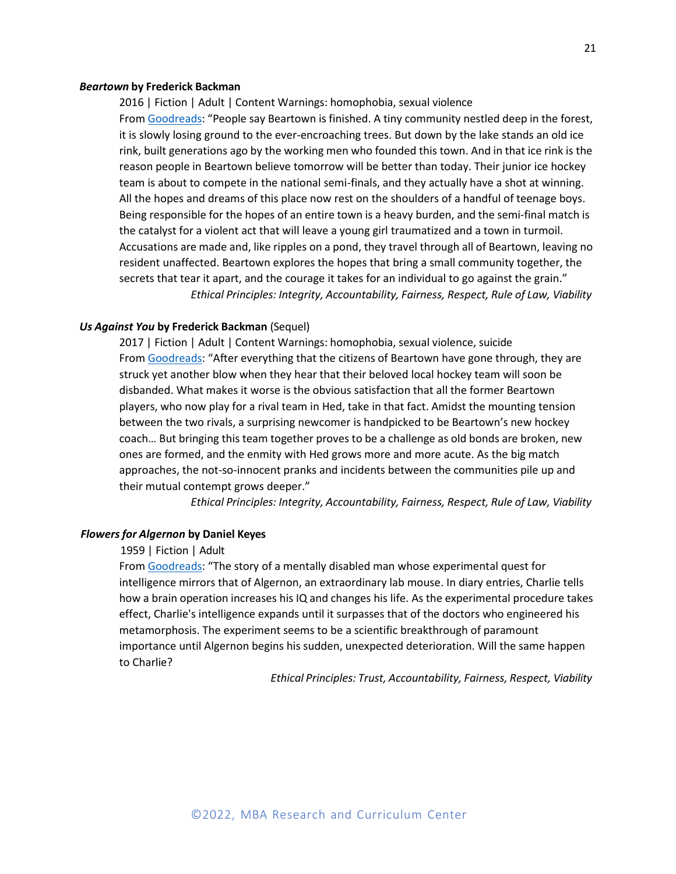#### *Beartown* **by Frederick Backman**

2016 | Fiction | Adult | Content Warnings: homophobia, sexual violence From Goodreads: "People say Beartown is finished. A tiny community nestled deep in the forest, it is slowly losing ground to the ever-encroaching trees. But down by the lake stands an old ice rink, built generations ago by the working men who founded this town. And in that ice rink is the reason people in Beartown believe tomorrow will be better than today. Their junior ice hockey team is about to compete in the national semi-finals, and they actually have a shot at winning. All the hopes and dreams of this place now rest on the shoulders of a handful of teenage boys. Being responsible for the hopes of an entire town is a heavy burden, and the semi-final match is the catalyst for a violent act that will leave a young girl traumatized and a town in turmoil. Accusations are made and, like ripples on a pond, they travel through all of Beartown, leaving no resident unaffected. Beartown explores the hopes that bring a small community together, the secrets that tear it apart, and the courage it takes for an individual to go against the grain." *Ethical Principles: Integrity, Accountability, Fairness, Respect, Rule of Law, Viability*

#### *Us Against You* **by Frederick Backman** (Sequel)

2017 | Fiction | Adult | Content Warnings: homophobia, sexual violence, suicide From Goodreads: "After everything that the citizens of Beartown have gone through, they are struck yet another blow when they hear that their beloved local hockey team will soon be disbanded. What makes it worse is the obvious satisfaction that all the former Beartown players, who now play for a rival team in Hed, take in that fact. Amidst the mounting tension between the two rivals, a surprising newcomer is handpicked to be Beartown's new hockey coach… But bringing this team together proves to be a challenge as old bonds are broken, new ones are formed, and the enmity with Hed grows more and more acute. As the big match approaches, the not-so-innocent pranks and incidents between the communities pile up and their mutual contempt grows deeper."

*Ethical Principles: Integrity, Accountability, Fairness, Respect, Rule of Law, Viability*

# *Flowersfor Algernon* **by Daniel Keyes**

#### 1959 | Fiction | Adult

From Goodreads: "The story of a mentally disabled man whose experimental quest for intelligence mirrors that of Algernon, an extraordinary lab mouse. In diary entries, Charlie tells how a brain operation increases his IQ and changes his life. As the experimental procedure takes effect, Charlie's intelligence expands until it surpasses that of the doctors who engineered his metamorphosis. The experiment seems to be a scientific breakthrough of paramount importance until Algernon begins his sudden, unexpected deterioration. Will the same happen to Charlie?

*Ethical Principles: Trust, Accountability, Fairness, Respect, Viability*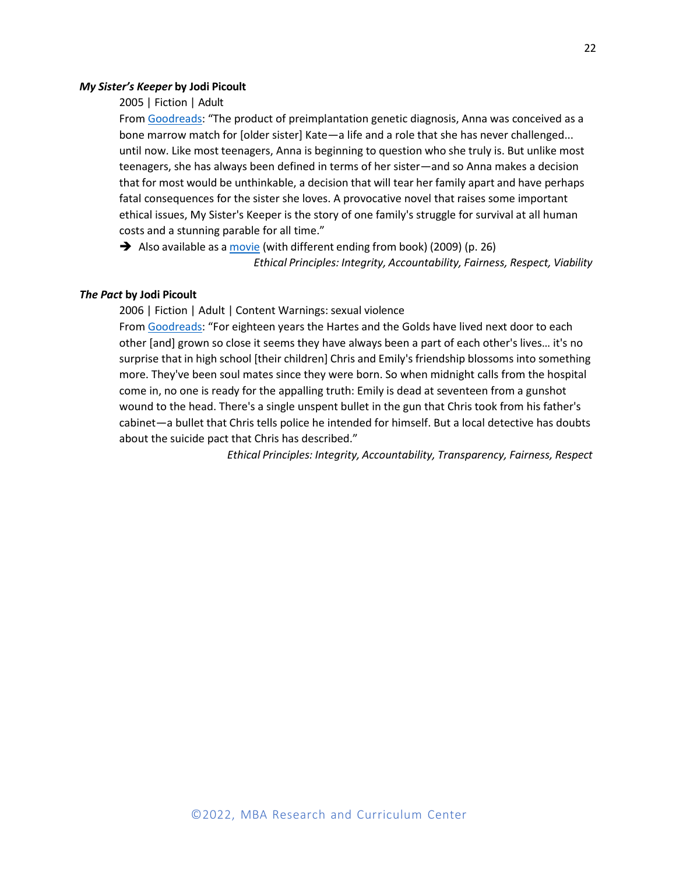#### *My Sister's Keeper* **by Jodi Picoult**

# 2005 | Fiction | Adult

From Goodreads: "The product of preimplantation genetic diagnosis, Anna was conceived as a bone marrow match for [older sister] Kate—a life and a role that she has never challenged... until now. Like most teenagers, Anna is beginning to question who she truly is. But unlike most teenagers, she has always been defined in terms of her sister—and so Anna makes a decision that for most would be unthinkable, a decision that will tear her family apart and have perhaps fatal consequences for the sister she loves. A provocative novel that raises some important ethical issues, My Sister's Keeper is the story of one family's struggle for survival at all human costs and a stunning parable for all time."

➔ Also available as a movie (with different ending from book) (2009) (p. 26) *Ethical Principles: Integrity, Accountability, Fairness, Respect, Viability*

# *The Pact* **by Jodi Picoult**

2006 | Fiction | Adult | Content Warnings: sexual violence

From Goodreads: "For eighteen years the Hartes and the Golds have lived next door to each other [and] grown so close it seems they have always been a part of each other's lives… it's no surprise that in high school [their children] Chris and Emily's friendship blossoms into something more. They've been soul mates since they were born. So when midnight calls from the hospital come in, no one is ready for the appalling truth: Emily is dead at seventeen from a gunshot wound to the head. There's a single unspent bullet in the gun that Chris took from his father's cabinet—a bullet that Chris tells police he intended for himself. But a local detective has doubts about the suicide pact that Chris has described."

*Ethical Principles: Integrity, Accountability, Transparency, Fairness, Respect*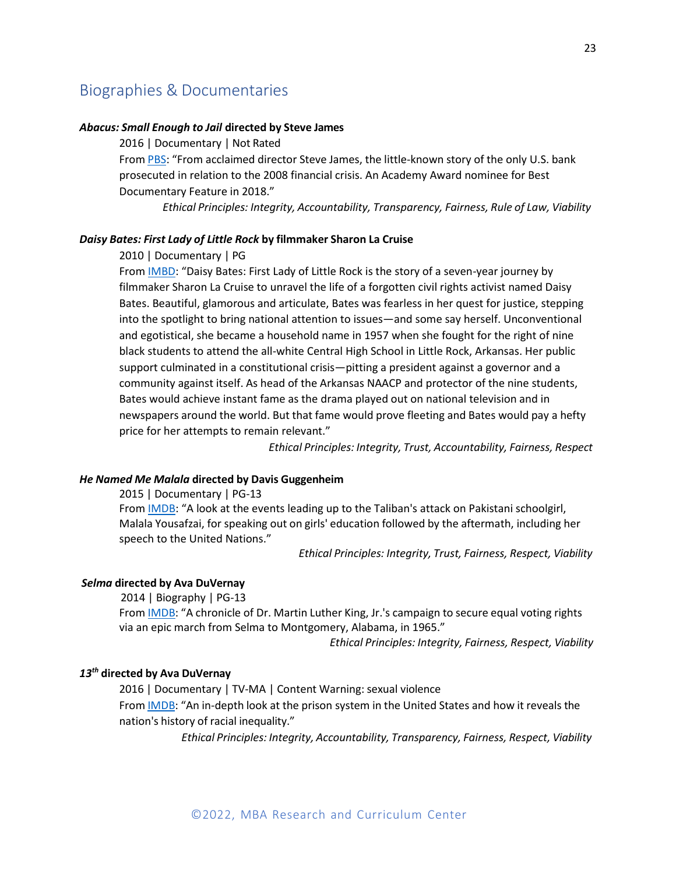# <span id="page-24-0"></span>Biographies & Documentaries

# *Abacus: Small Enough to Jail* **directed by Steve James**

2016 | Documentary | Not Rated

From PBS: "From acclaimed director Steve James, the little-known story of the only U.S. bank prosecuted in relation to the 2008 financial crisis. An Academy Award nominee for Best Documentary Feature in 2018."

*Ethical Principles: Integrity, Accountability, Transparency, Fairness, Rule of Law, Viability*

# *Daisy Bates: First Lady of Little Rock* **by filmmaker Sharon La Cruise**

2010 | Documentary | PG

From **IMBD:** "Daisy Bates: First Lady of Little Rock is the story of a seven-year journey by filmmaker Sharon La Cruise to unravel the life of a forgotten civil rights activist named Daisy Bates. Beautiful, glamorous and articulate, Bates was fearless in her quest for justice, stepping into the spotlight to bring national attention to issues—and some say herself. Unconventional and egotistical, she became a household name in 1957 when she fought for the right of nine black students to attend the all-white Central High School in Little Rock, Arkansas. Her public support culminated in a constitutional crisis—pitting a president against a governor and a community against itself. As head of the Arkansas NAACP and protector of the nine students, Bates would achieve instant fame as the drama played out on national television and in newspapers around the world. But that fame would prove fleeting and Bates would pay a hefty price for her attempts to remain relevant."

*Ethical Principles: Integrity, Trust, Accountability, Fairness, Respect*

# *He Named Me Malala* **directed by Davis Guggenheim**

2015 | Documentary | PG-13 From IMDB: "A look at the events leading up to the Taliban's attack on Pakistani schoolgirl, Malala Yousafzai, for speaking out on girls' education followed by the aftermath, including her speech to the United Nations."

*Ethical Principles: Integrity, Trust, Fairness, Respect, Viability*

# *Selma* **directed by Ava DuVernay**

2014 | Biography | PG-13

From **IMDB**: "A chronicle of Dr. Martin Luther King, Jr.'s campaign to secure equal voting rights via an epic march from Selma to Montgomery, Alabama, in 1965."

*Ethical Principles: Integrity, Fairness, Respect, Viability*

# *13th* **directed by Ava DuVernay**

2016 | Documentary | TV-MA | Content Warning: sexual violence From IMDB: "An in-depth look at the prison system in the United States and how it reveals the nation's history of racial inequality."

*Ethical Principles: Integrity, Accountability, Transparency, Fairness, Respect, Viability*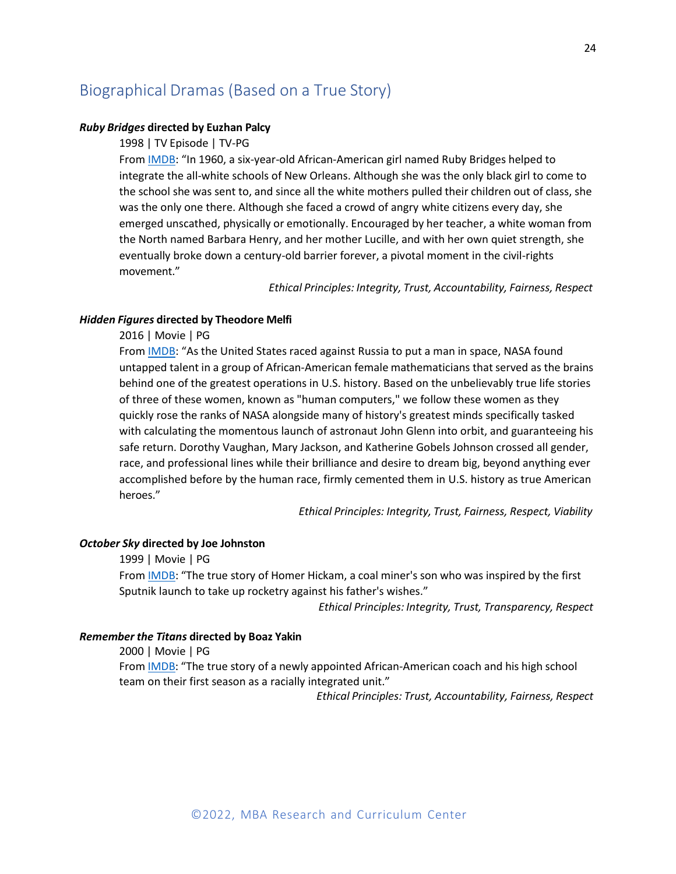# <span id="page-25-0"></span>Biographical Dramas (Based on a True Story)

# *Ruby Bridges* **directed by Euzhan Palcy**

1998 | TV Episode | TV-PG

From IMDB: "In 1960, a six-year-old African-American girl named Ruby Bridges helped to integrate the all-white schools of New Orleans. Although she was the only black girl to come to the school she was sent to, and since all the white mothers pulled their children out of class, she was the only one there. Although she faced a crowd of angry white citizens every day, she emerged unscathed, physically or emotionally. Encouraged by her teacher, a white woman from the North named Barbara Henry, and her mother Lucille, and with her own quiet strength, she eventually broke down a century-old barrier forever, a pivotal moment in the civil-rights movement."

*Ethical Principles: Integrity, Trust, Accountability, Fairness, Respect*

#### *Hidden Figures* **directed by Theodore Melfi**

2016 | Movie | PG

From IMDB: "As the United States raced against Russia to put a man in space, NASA found untapped talent in a group of African-American female mathematicians that served as the brains behind one of the greatest operations in U.S. history. Based on the unbelievably true life stories of three of these women, known as "human computers," we follow these women as they quickly rose the ranks of NASA alongside many of history's greatest minds specifically tasked with calculating the momentous launch of astronaut John Glenn into orbit, and guaranteeing his safe return. Dorothy Vaughan, Mary Jackson, and Katherine Gobels Johnson crossed all gender, race, and professional lines while their brilliance and desire to dream big, beyond anything ever accomplished before by the human race, firmly cemented them in U.S. history as true American heroes."

*Ethical Principles: Integrity, Trust, Fairness, Respect, Viability*

# *October Sky* **directed by Joe Johnston**

1999 | Movie | PG

From **IMDB**: "The true story of Homer Hickam, a coal miner's son who was inspired by the first Sputnik launch to take up rocketry against his father's wishes."

*Ethical Principles: Integrity, Trust, Transparency, Respect*

#### *Remember the Titans* **directed by Boaz Yakin**

2000 | Movie | PG

From **IMDB**: "The true story of a newly appointed African-American coach and his high school team on their first season as a racially integrated unit."

*Ethical Principles: Trust, Accountability, Fairness, Respect*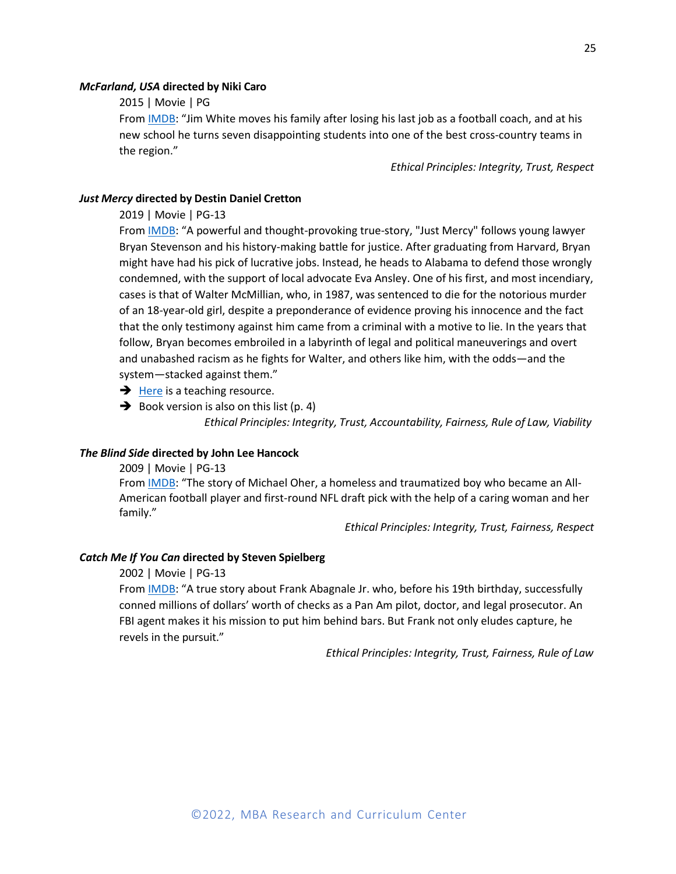#### *McFarland, USA* **directed by Niki Caro**

2015 | Movie | PG

From IMDB: "Jim White moves his family after losing his last job as a football coach, and at his new school he turns seven disappointing students into one of the best cross-country teams in the region."

*Ethical Principles: Integrity, Trust, Respect*

# *Just Mercy* **directed by Destin Daniel Cretton**

2019 | Movie | PG-13

From IMDB: "A powerful and thought-provoking true-story, "Just Mercy" follows young lawyer Bryan Stevenson and his history-making battle for justice. After graduating from Harvard, Bryan might have had his pick of lucrative jobs. Instead, he heads to Alabama to defend those wrongly condemned, with the support of local advocate Eva Ansley. One of his first, and most incendiary, cases is that of Walter McMillian, who, in 1987, was sentenced to die for the notorious murder of an 18-year-old girl, despite a preponderance of evidence proving his innocence and the fact that the only testimony against him came from a criminal with a motive to lie. In the years that follow, Bryan becomes embroiled in a labyrinth of legal and political maneuverings and overt and unabashed racism as he fights for Walter, and others like him, with the odds—and the system—stacked against them."

- $\rightarrow$  Here is a teaching resource.
- $\rightarrow$  Book version is also on this list (p. 4)

*Ethical Principles: Integrity, Trust, Accountability, Fairness, Rule of Law, Viability*

#### *The Blind Side* **directed by John Lee Hancock**

2009 | Movie | PG-13

From IMDB: "The story of Michael Oher, a homeless and traumatized boy who became an All-American football player and first-round NFL draft pick with the help of a caring woman and her family."

*Ethical Principles: Integrity, Trust, Fairness, Respect*

# *Catch Me If You Can* **directed by Steven Spielberg**

2002 | Movie | PG-13

From IMDB: "A true story about Frank Abagnale Jr. who, before his 19th birthday, successfully conned millions of dollars' worth of checks as a Pan Am pilot, doctor, and legal prosecutor. An FBI agent makes it his mission to put him behind bars. But Frank not only eludes capture, he revels in the pursuit."

*Ethical Principles: Integrity, Trust, Fairness, Rule of Law*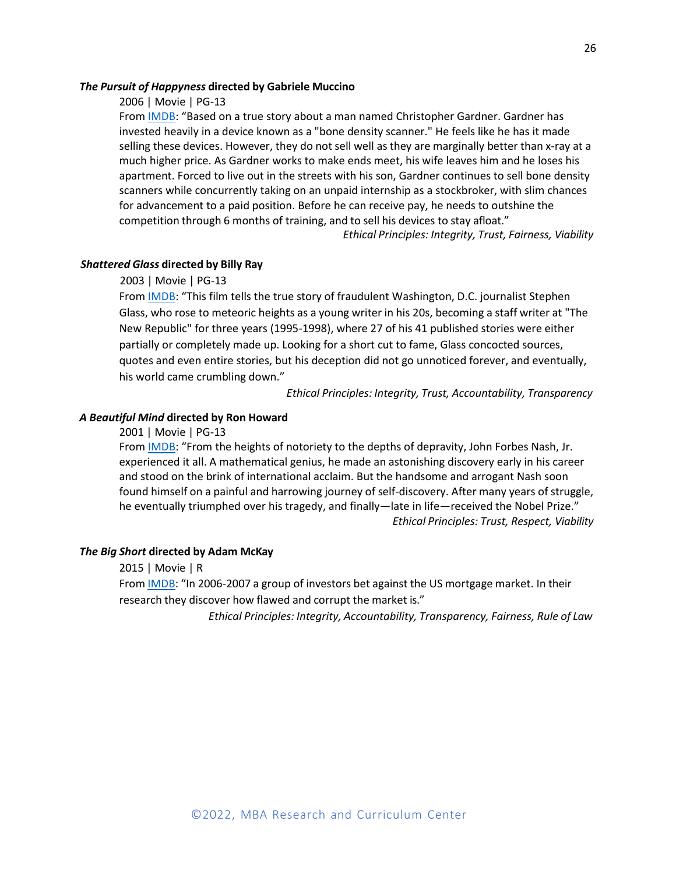# *The Pursuit of Happyness* **directed by Gabriele Muccino**

# 2006 | Movie | PG-13

From IMDB: "Based on a true story about a man named Christopher Gardner. Gardner has invested heavily in a device known as a "bone density scanner." He feels like he has it made selling these devices. However, they do not sell well asthey are marginally better than x-ray at a much higher price. As Gardner works to make ends meet, his wife leaves him and he loses his apartment. Forced to live out in the streets with his son, Gardner continues to sell bone density scanners while concurrently taking on an unpaid internship as a stockbroker, with slim chances for advancement to a paid position. Before he can receive pay, he needs to outshine the competition through 6 months of training, and to sell his devices to stay afloat."

*Ethical Principles: Integrity, Trust, Fairness, Viability*

# *Shattered Glass* **directed by Billy Ray**

# 2003 | Movie | PG-13

From **IMDB**: "This film tells the true story of fraudulent Washington, D.C. journalist Stephen Glass, who rose to meteoric heights as a young writer in his 20s, becoming a staff writer at "The New Republic" for three years (1995-1998), where 27 of his 41 published stories were either partially or completely made up. Looking for a short cut to fame, Glass concocted sources, quotes and even entire stories, but his deception did not go unnoticed forever, and eventually, his world came crumbling down."

*Ethical Principles: Integrity, Trust, Accountability, Transparency*

# *A Beautiful Mind* **directed by Ron Howard**

2001 | Movie | PG-13

From **IMDB**: "From the heights of notoriety to the depths of depravity, John Forbes Nash, Jr. experienced it all. A mathematical genius, he made an astonishing discovery early in his career and stood on the brink of international acclaim. But the handsome and arrogant Nash soon found himself on a painful and harrowing journey of self-discovery. After many years of struggle, he eventually triumphed over his tragedy, and finally—late in life—received the Nobel Prize." *Ethical Principles: Trust, Respect, Viability*

# *The Big Short* **directed by Adam McKay**

2015 | Movie | R

From IMDB: "In 2006-2007 a group of investors bet against the US mortgage market. In their research they discover how flawed and corrupt the market is."

*Ethical Principles: Integrity, Accountability, Transparency, Fairness, Rule of Law*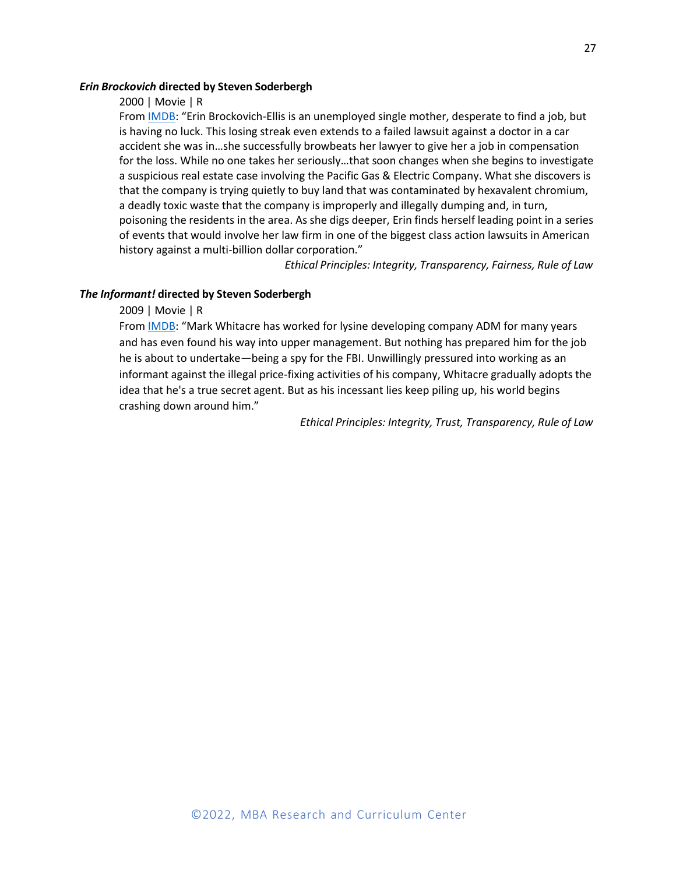# *Erin Brockovich* **directed by Steven Soderbergh**

#### 2000 | Movie | R

From IMDB: "Erin Brockovich-Ellis is an unemployed single mother, desperate to find a job, but is having no luck. This losing streak even extends to a failed lawsuit against a doctor in a car accident she was in…she successfully browbeats her lawyer to give her a job in compensation for the loss. While no one takes her seriously…that soon changes when she begins to investigate a suspicious real estate case involving the Pacific Gas & Electric Company. What she discovers is that the company is trying quietly to buy land that was contaminated by hexavalent chromium, a deadly toxic waste that the company is improperly and illegally dumping and, in turn, poisoning the residents in the area. As she digs deeper, Erin finds herself leading point in a series of events that would involve her law firm in one of the biggest class action lawsuits in American history against a multi-billion dollar corporation."

*Ethical Principles: Integrity, Transparency, Fairness, Rule of Law*

# *The Informant!* **directed by Steven Soderbergh**

# 2009 | Movie | R

From **IMDB**: "Mark Whitacre has worked for lysine developing company ADM for many years and has even found his way into upper management. But nothing has prepared him for the job he is about to undertake—being a spy for the FBI. Unwillingly pressured into working as an informant against the illegal price-fixing activities of his company, Whitacre gradually adopts the idea that he's a true secret agent. But as his incessant lies keep piling up, his world begins crashing down around him."

*Ethical Principles: Integrity, Trust, Transparency, Rule of Law*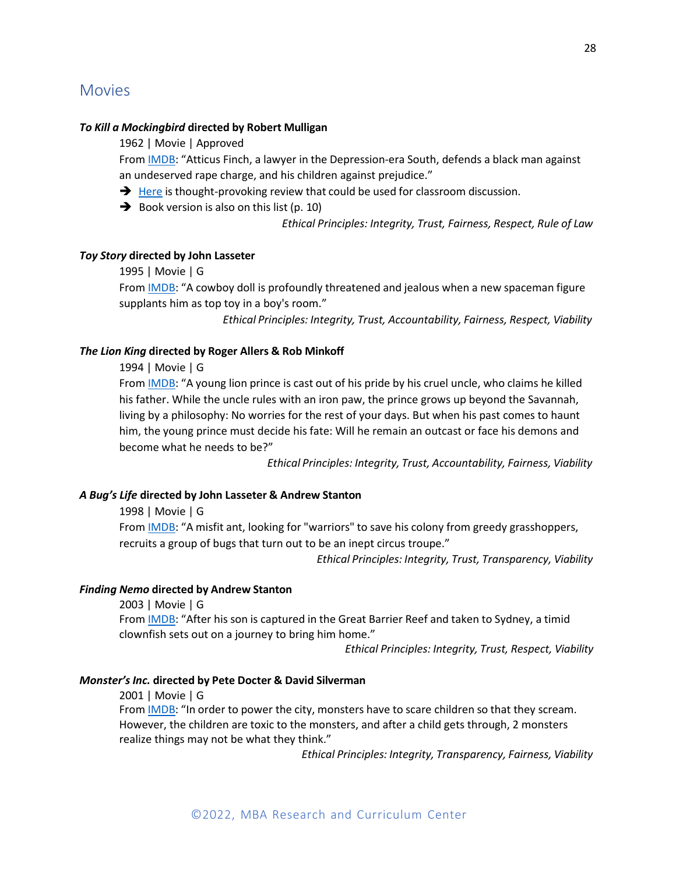# <span id="page-29-0"></span>*To Kill a Mockingbird* **directed by Robert Mulligan**

1962 | Movie | Approved

From IMDB: "Atticus Finch, a lawyer in the Depression-era South, defends a black man against an undeserved rape charge, and his children against prejudice."

- **→** Here is thought-provoking review that could be used for classroom discussion.
- $\rightarrow$  Book version is also on this list (p. 10)

*Ethical Principles: Integrity, Trust, Fairness, Respect, Rule of Law*

# *Toy Story* **directed by John Lasseter**

# 1995 | Movie | G

From IMDB: "A cowboy doll is profoundly threatened and jealous when a new spaceman figure supplants him as top toy in a boy's room."

*Ethical Principles: Integrity, Trust, Accountability, Fairness, Respect, Viability*

# *The Lion King* **directed by Roger Allers & Rob Minkoff**

1994 | Movie | G

From IMDB: "A young lion prince is cast out of his pride by his cruel uncle, who claims he killed his father. While the uncle rules with an iron paw, the prince grows up beyond the Savannah, living by a philosophy: No worries for the rest of your days. But when his past comes to haunt him, the young prince must decide his fate: Will he remain an outcast or face his demons and become what he needs to be?"

*Ethical Principles: Integrity, Trust, Accountability, Fairness, Viability*

#### *A Bug's Life* **directed by John Lasseter & Andrew Stanton**

# 1998 | Movie | G

From **IMDB**: "A misfit ant, looking for "warriors" to save his colony from greedy grasshoppers, recruits a group of bugs that turn out to be an inept circus troupe."

*Ethical Principles: Integrity, Trust, Transparency, Viability*

# *Finding Nemo* **directed by Andrew Stanton**

2003 | Movie | G From IMDB: "After his son is captured in the Great Barrier Reef and taken to Sydney, a timid clownfish sets out on a journey to bring him home."

*Ethical Principles: Integrity, Trust, Respect, Viability*

# *Monster'sInc.* **directed by Pete Docter & David Silverman**

2001 | Movie | G From IMDB: "In order to power the city, monsters have to scare children so that they scream. However, the children are toxic to the monsters, and after a child gets through, 2 monsters realize things may not be what they think."

*Ethical Principles: Integrity, Transparency, Fairness, Viability*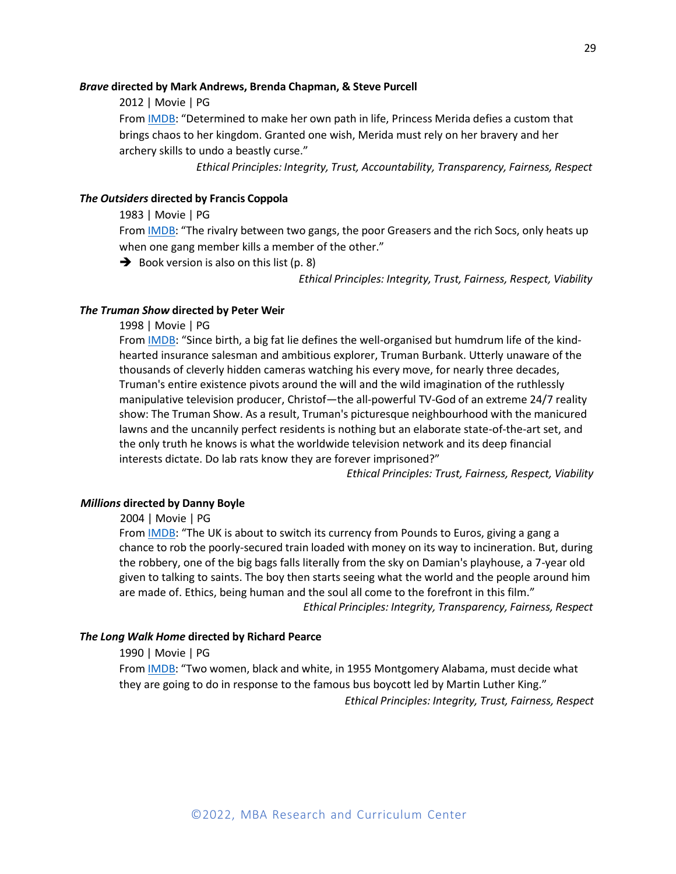#### *Brave* **directed by Mark Andrews, Brenda Chapman, & Steve Purcell**

2012 | Movie | PG

From IMDB: "Determined to make her own path in life, Princess Merida defies a custom that brings chaos to her kingdom. Granted one wish, Merida must rely on her bravery and her archery skills to undo a beastly curse."

*Ethical Principles: Integrity, Trust, Accountability, Transparency, Fairness, Respect*

# *The Outsiders* **directed by Francis Coppola**

#### 1983 | Movie | PG

From IMDB: "The rivalry between two gangs, the poor Greasers and the rich Socs, only heats up when one gang member kills a member of the other."

 $\rightarrow$  Book version is also on this list (p. 8)

*Ethical Principles: Integrity, Trust, Fairness, Respect, Viability*

# *The Truman Show* **directed by Peter Weir**

1998 | Movie | PG

From **IMDB**: "Since birth, a big fat lie defines the well-organised but humdrum life of the kindhearted insurance salesman and ambitious explorer, Truman Burbank. Utterly unaware of the thousands of cleverly hidden cameras watching his every move, for nearly three decades, Truman's entire existence pivots around the will and the wild imagination of the ruthlessly manipulative television producer, Christof—the all-powerful TV-God of an extreme 24/7 reality show: The Truman Show. As a result, Truman's picturesque neighbourhood with the manicured lawns and the uncannily perfect residents is nothing but an elaborate state-of-the-art set, and the only truth he knows is what the worldwide television network and its deep financial interests dictate. Do lab rats know they are forever imprisoned?"

*Ethical Principles: Trust, Fairness, Respect, Viability*

# *Millions* **directed by Danny Boyle**

2004 | Movie | PG

From **IMDB**: "The UK is about to switch its currency from Pounds to Euros, giving a gang a chance to rob the poorly-secured train loaded with money on its way to incineration. But, during the robbery, one of the big bags falls literally from the sky on Damian's playhouse, a 7-year old given to talking to saints. The boy then starts seeing what the world and the people around him are made of. Ethics, being human and the soul all come to the forefront in this film."

*Ethical Principles: Integrity, Transparency, Fairness, Respect*

# *The Long Walk Home* **directed by Richard Pearce**

# 1990 | Movie | PG

From IMDB: "Two women, black and white, in 1955 Montgomery Alabama, must decide what they are going to do in response to the famous bus boycott led by Martin Luther King." *Ethical Principles: Integrity, Trust, Fairness, Respect*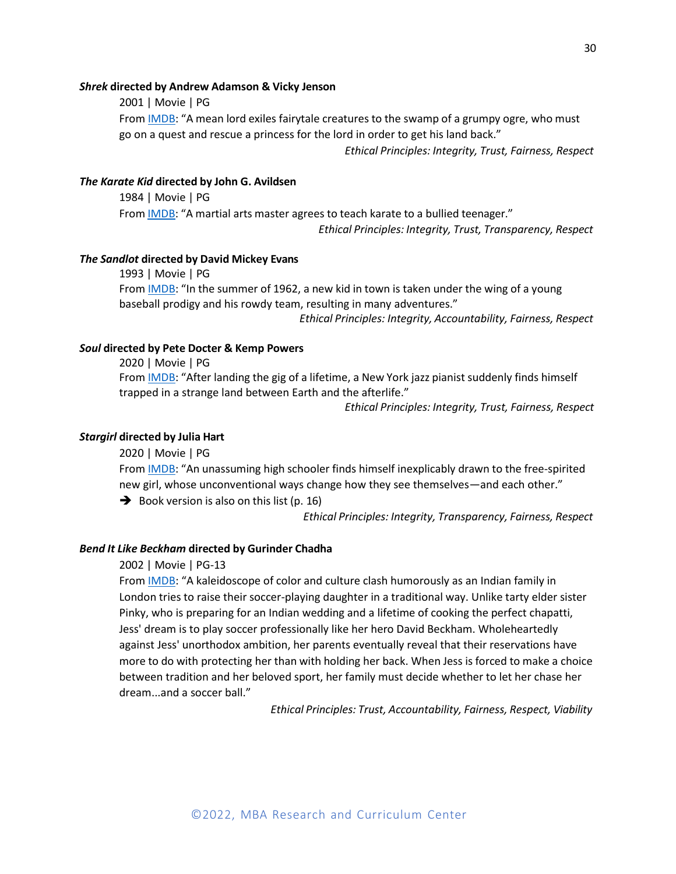# *Shrek* **directed by Andrew Adamson & Vicky Jenson**

2001 | Movie | PG From IMDB: "A mean lord exiles fairytale creatures to the swamp of a grumpy ogre, who must go on a quest and rescue a princess for the lord in order to get his land back."

*Ethical Principles: Integrity, Trust, Fairness, Respect*

#### *The Karate Kid* **directed by John G. Avildsen**

1984 | Movie | PG From **IMDB**: "A martial arts master agrees to teach karate to a bullied teenager." *Ethical Principles: Integrity, Trust, Transparency, Respect*

#### *The Sandlot* **directed by David Mickey Evans**

1993 | Movie | PG From **IMDB**: "In the summer of 1962, a new kid in town is taken under the wing of a young baseball prodigy and his rowdy team, resulting in many adventures."

*Ethical Principles: Integrity, Accountability, Fairness, Respect*

# *Soul* **directed by Pete Docter & Kemp Powers**

2020 | Movie | PG

From IMDB: "After landing the gig of a lifetime, a New York jazz pianist suddenly finds himself trapped in a strange land between Earth and the afterlife."

*Ethical Principles: Integrity, Trust, Fairness, Respect*

#### *Stargirl* **directed by Julia Hart**

2020 | Movie | PG

From IMDB: "An unassuming high schooler finds himself inexplicably drawn to the free-spirited new girl, whose unconventional ways change how they see themselves—and each other."

 $\rightarrow$  Book version is also on this list (p. 16)

*Ethical Principles: Integrity, Transparency, Fairness, Respect*

#### *Bend It Like Beckham* **directed by Gurinder Chadha**

# 2002 | Movie | PG-13

From **IMDB**: "A kaleidoscope of color and culture clash humorously as an Indian family in London tries to raise their soccer-playing daughter in a traditional way. Unlike tarty elder sister Pinky, who is preparing for an Indian wedding and a lifetime of cooking the perfect chapatti, Jess' dream is to play soccer professionally like her hero David Beckham. Wholeheartedly against Jess' unorthodox ambition, her parents eventually reveal that their reservations have more to do with protecting her than with holding her back. When Jess is forced to make a choice between tradition and her beloved sport, her family must decide whether to let her chase her dream...and a soccer ball."

*Ethical Principles: Trust, Accountability, Fairness, Respect, Viability*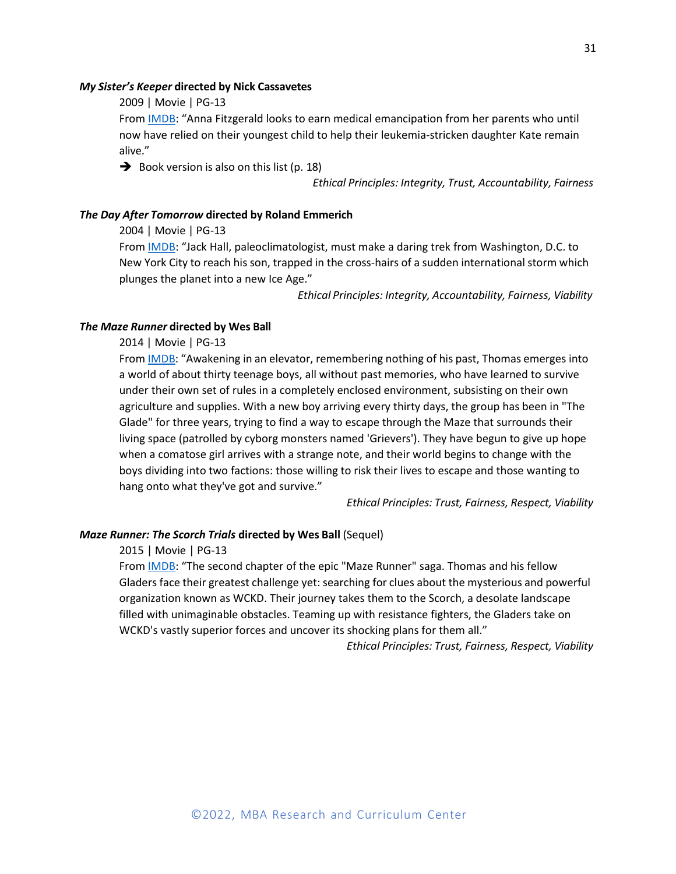#### *My Sister's Keeper* **directed by Nick Cassavetes**

2009 | Movie | PG-13

From IMDB: "Anna Fitzgerald looks to earn medical emancipation from her parents who until now have relied on their youngest child to help their leukemia-stricken daughter Kate remain alive."

 $\rightarrow$  Book version is also on this list (p. 18)

*Ethical Principles: Integrity, Trust, Accountability, Fairness*

#### *The Day After Tomorrow* **directed by Roland Emmerich**

2004 | Movie | PG-13

From IMDB: "Jack Hall, paleoclimatologist, must make a daring trek from Washington, D.C. to New York City to reach his son, trapped in the cross-hairs of a sudden international storm which plunges the planet into a new Ice Age."

*Ethical Principles: Integrity, Accountability, Fairness, Viability*

#### *The Maze Runner* **directed by Wes Ball**

2014 | Movie | PG-13

From **IMDB**: "Awakening in an elevator, remembering nothing of his past, Thomas emerges into a world of about thirty teenage boys, all without past memories, who have learned to survive under their own set of rules in a completely enclosed environment, subsisting on their own agriculture and supplies. With a new boy arriving every thirty days, the group has been in "The Glade" for three years, trying to find a way to escape through the Maze that surrounds their living space (patrolled by cyborg monsters named 'Grievers'). They have begun to give up hope when a comatose girl arrives with a strange note, and their world begins to change with the boys dividing into two factions: those willing to risk their lives to escape and those wanting to hang onto what they've got and survive."

*Ethical Principles: Trust, Fairness, Respect, Viability*

# *Maze Runner: The Scorch Trials* **directed by Wes Ball** (Sequel)

2015 | Movie | PG-13

From IMDB: "The second chapter of the epic "Maze Runner" saga. Thomas and his fellow Gladers face their greatest challenge yet: searching for clues about the mysterious and powerful organization known as WCKD. Their journey takes them to the Scorch, a desolate landscape filled with unimaginable obstacles. Teaming up with resistance fighters, the Gladers take on WCKD's vastly superior forces and uncover its shocking plans for them all."

*Ethical Principles: Trust, Fairness, Respect, Viability*